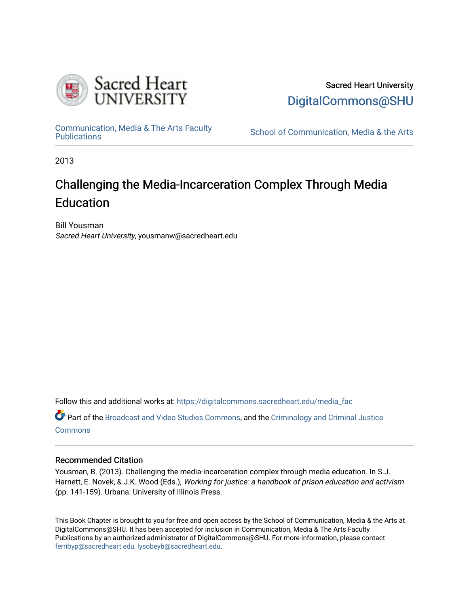

Sacred Heart University [DigitalCommons@SHU](https://digitalcommons.sacredheart.edu/) 

[Communication, Media & The Arts Faculty](https://digitalcommons.sacredheart.edu/media_fac) 

School of Communication, Media & the Arts

2013

# Challenging the Media-Incarceration Complex Through Media Education

Bill Yousman Sacred Heart University, yousmanw@sacredheart.edu

Follow this and additional works at: [https://digitalcommons.sacredheart.edu/media\\_fac](https://digitalcommons.sacredheart.edu/media_fac?utm_source=digitalcommons.sacredheart.edu%2Fmedia_fac%2F84&utm_medium=PDF&utm_campaign=PDFCoverPages) 

Part of the [Broadcast and Video Studies Commons,](http://network.bepress.com/hgg/discipline/326?utm_source=digitalcommons.sacredheart.edu%2Fmedia_fac%2F84&utm_medium=PDF&utm_campaign=PDFCoverPages) and the [Criminology and Criminal Justice](http://network.bepress.com/hgg/discipline/367?utm_source=digitalcommons.sacredheart.edu%2Fmedia_fac%2F84&utm_medium=PDF&utm_campaign=PDFCoverPages) **[Commons](http://network.bepress.com/hgg/discipline/367?utm_source=digitalcommons.sacredheart.edu%2Fmedia_fac%2F84&utm_medium=PDF&utm_campaign=PDFCoverPages)** 

## Recommended Citation

Yousman, B. (2013). Challenging the media-incarceration complex through media education. In S.J. Harnett, E. Novek, & J.K. Wood (Eds.), Working for justice: a handbook of prison education and activism (pp. 141-159). Urbana: University of Illinois Press.

This Book Chapter is brought to you for free and open access by the School of Communication, Media & the Arts at DigitalCommons@SHU. It has been accepted for inclusion in Communication, Media & The Arts Faculty Publications by an authorized administrator of DigitalCommons@SHU. For more information, please contact [ferribyp@sacredheart.edu, lysobeyb@sacredheart.edu.](mailto:ferribyp@sacredheart.edu,%20lysobeyb@sacredheart.edu)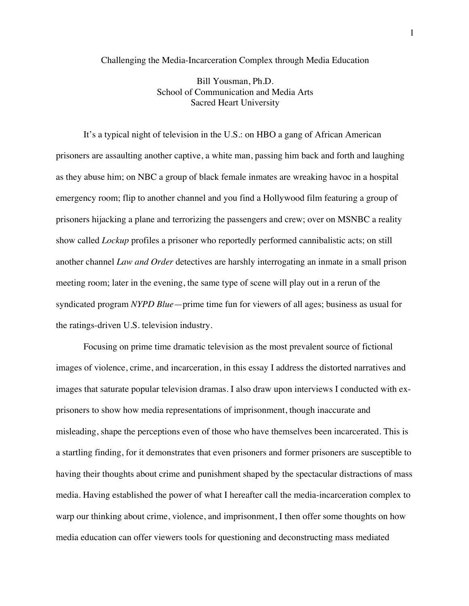#### Challenging the Media-Incarceration Complex through Media Education

## Bill Yousman, Ph.D. School of Communication and Media Arts Sacred Heart University

 It's a typical night of television in the U.S.: on HBO a gang of African American prisoners are assaulting another captive, a white man, passing him back and forth and laughing as they abuse him; on NBC a group of black female inmates are wreaking havoc in a hospital emergency room; flip to another channel and you find a Hollywood film featuring a group of prisoners hijacking a plane and terrorizing the passengers and crew; over on MSNBC a reality show called *Lockup* profiles a prisoner who reportedly performed cannibalistic acts; on still another channel *Law and Order* detectives are harshly interrogating an inmate in a small prison meeting room; later in the evening, the same type of scene will play out in a rerun of the syndicated program *NYPD Blue*—prime time fun for viewers of all ages; business as usual for the ratings-driven U.S. television industry.

 Focusing on prime time dramatic television as the most prevalent source of fictional images of violence, crime, and incarceration, in this essay I address the distorted narratives and images that saturate popular television dramas. I also draw upon interviews I conducted with exprisoners to show how media representations of imprisonment, though inaccurate and misleading, shape the perceptions even of those who have themselves been incarcerated. This is a startling finding, for it demonstrates that even prisoners and former prisoners are susceptible to having their thoughts about crime and punishment shaped by the spectacular distractions of mass media. Having established the power of what I hereafter call the media-incarceration complex to warp our thinking about crime, violence, and imprisonment, I then offer some thoughts on how media education can offer viewers tools for questioning and deconstructing mass mediated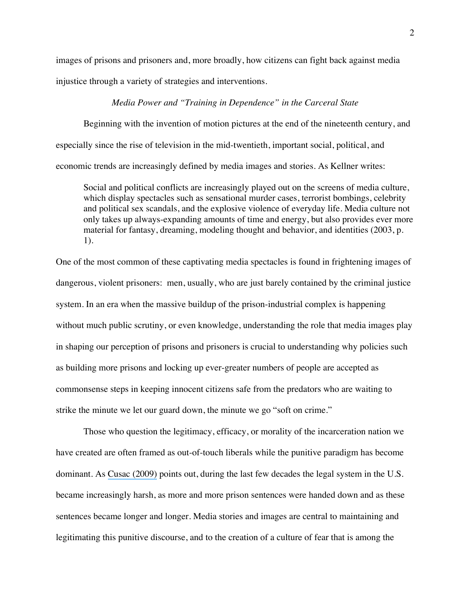images of prisons and prisoners and, more broadly, how citizens can fight back against media

injustice through a variety of strategies and interventions.

## *Media Power and "Training in Dependence" in the Carceral State*

 Beginning with the invention of motion pictures at the end of the nineteenth century, and especially since the rise of television in the mid-twentieth, important social, political, and economic trends are increasingly defined by media images and stories. As Kellner writes:

Social and political conflicts are increasingly played out on the screens of media culture, which display spectacles such as sensational murder cases, terrorist bombings, celebrity and political sex scandals, and the explosive violence of everyday life. Media culture not only takes up always-expanding amounts of time and energy, but also provides ever more material for fantasy, dreaming, modeling thought and behavior, and identities (2003, p. 1).

One of the most common of these captivating media spectacles is found in frightening images of dangerous, violent prisoners: men, usually, who are just barely contained by the criminal justice system. In an era when the massive buildup of the prison-industrial complex is happening without much public scrutiny, or even knowledge, understanding the role that media images play in shaping our perception of prisons and prisoners is crucial to understanding why policies such as building more prisons and locking up ever-greater numbers of people are accepted as commonsense steps in keeping innocent citizens safe from the predators who are waiting to strike the minute we let our guard down, the minute we go "soft on crime."

 Those who question the legitimacy, efficacy, or morality of the incarceration nation we have created are often framed as out-of-touch liberals while the punitive paradigm has become dominant. As [Cusac \(2009\)](https://www.researchgate.net/publication/290959808_Cruel_and_unusual_The_culture_of_punishment_in_America?el=1_x_8&enrichId=rgreq-6ed02ae2f8bc4260c167b29f34983fdc-XXX&enrichSource=Y292ZXJQYWdlOzI5MTEwODI4MztBUzozNzM0MzMxMzg0NjY4MTZAMTQ2NjA0NDgwNjM0Ng==) points out, during the last few decades the legal system in the U.S. became increasingly harsh, as more and more prison sentences were handed down and as these sentences became longer and longer. Media stories and images are central to maintaining and legitimating this punitive discourse, and to the creation of a culture of fear that is among the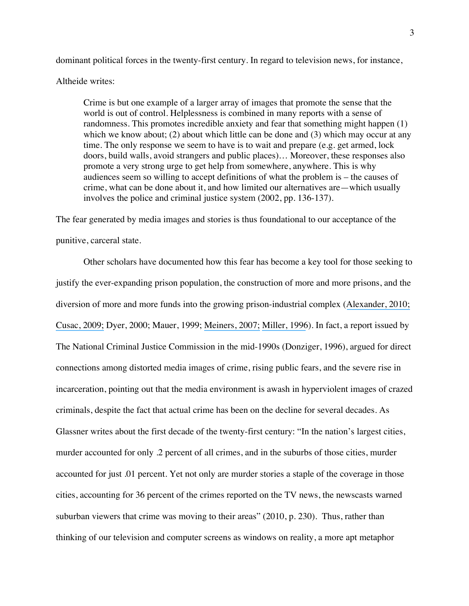dominant political forces in the twenty-first century. In regard to television news, for instance,

### Altheide writes:

Crime is but one example of a larger array of images that promote the sense that the world is out of control. Helplessness is combined in many reports with a sense of randomness. This promotes incredible anxiety and fear that something might happen (1) which we know about; (2) about which little can be done and (3) which may occur at any time. The only response we seem to have is to wait and prepare (e.g. get armed, lock doors, build walls, avoid strangers and public places)… Moreover, these responses also promote a very strong urge to get help from somewhere, anywhere. This is why audiences seem so willing to accept definitions of what the problem is – the causes of crime, what can be done about it, and how limited our alternatives are—which usually involves the police and criminal justice system (2002, pp. 136-137).

The fear generated by media images and stories is thus foundational to our acceptance of the punitive, carceral state.

Other scholars have documented how this fear has become a key tool for those seeking to justify the ever-expanding prison population, the construction of more and more prisons, and the diversion of more and more funds into the growing prison-industrial complex ([Alexander, 2010;](https://www.researchgate.net/publication/281453268_The_New_Jim_Crow_Mass_Incarceration_in_an_Age_of_Color_Blindness?el=1_x_8&enrichId=rgreq-6ed02ae2f8bc4260c167b29f34983fdc-XXX&enrichSource=Y292ZXJQYWdlOzI5MTEwODI4MztBUzozNzM0MzMxMzg0NjY4MTZAMTQ2NjA0NDgwNjM0Ng==) [Cusac, 2009;](https://www.researchgate.net/publication/290959808_Cruel_and_unusual_The_culture_of_punishment_in_America?el=1_x_8&enrichId=rgreq-6ed02ae2f8bc4260c167b29f34983fdc-XXX&enrichSource=Y292ZXJQYWdlOzI5MTEwODI4MztBUzozNzM0MzMxMzg0NjY4MTZAMTQ2NjA0NDgwNjM0Ng==) Dyer, 2000; Mauer, 1999; [Meiners, 2007;](https://www.researchgate.net/publication/287055938_Right_to_be_hostile_Schools_prisons_and_the_making_of_public_enemies?el=1_x_8&enrichId=rgreq-6ed02ae2f8bc4260c167b29f34983fdc-XXX&enrichSource=Y292ZXJQYWdlOzI5MTEwODI4MztBUzozNzM0MzMxMzg0NjY4MTZAMTQ2NjA0NDgwNjM0Ng==) [Miller, 1996](https://www.researchgate.net/publication/281453207_Search_and_Destroy_The_Plight_of_African_American_Males_in_the_Criminal_Justice_System?el=1_x_8&enrichId=rgreq-6ed02ae2f8bc4260c167b29f34983fdc-XXX&enrichSource=Y292ZXJQYWdlOzI5MTEwODI4MztBUzozNzM0MzMxMzg0NjY4MTZAMTQ2NjA0NDgwNjM0Ng==)). In fact, a report issued by The National Criminal Justice Commission in the mid-1990s (Donziger, 1996), argued for direct connections among distorted media images of crime, rising public fears, and the severe rise in incarceration, pointing out that the media environment is awash in hyperviolent images of crazed criminals, despite the fact that actual crime has been on the decline for several decades. As Glassner writes about the first decade of the twenty-first century: "In the nation's largest cities, murder accounted for only .2 percent of all crimes, and in the suburbs of those cities, murder accounted for just .01 percent. Yet not only are murder stories a staple of the coverage in those cities, accounting for 36 percent of the crimes reported on the TV news, the newscasts warned suburban viewers that crime was moving to their areas" (2010, p. 230). Thus, rather than thinking of our television and computer screens as windows on reality, a more apt metaphor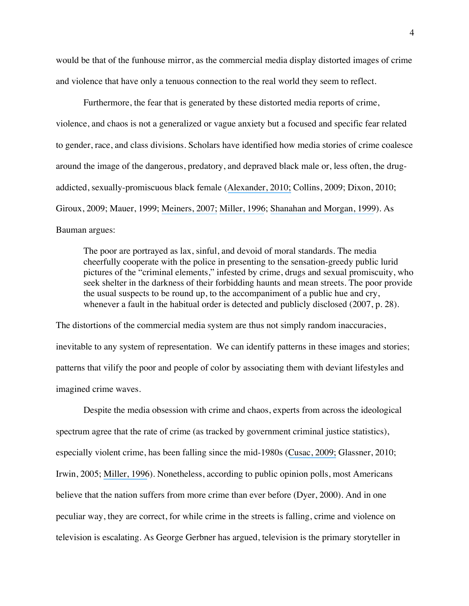would be that of the funhouse mirror, as the commercial media display distorted images of crime and violence that have only a tenuous connection to the real world they seem to reflect.

 Furthermore, the fear that is generated by these distorted media reports of crime, violence, and chaos is not a generalized or vague anxiety but a focused and specific fear related to gender, race, and class divisions. Scholars have identified how media stories of crime coalesce around the image of the dangerous, predatory, and depraved black male or, less often, the drugaddicted, sexually-promiscuous black female ([Alexander, 2010;](https://www.researchgate.net/publication/281453268_The_New_Jim_Crow_Mass_Incarceration_in_an_Age_of_Color_Blindness?el=1_x_8&enrichId=rgreq-6ed02ae2f8bc4260c167b29f34983fdc-XXX&enrichSource=Y292ZXJQYWdlOzI5MTEwODI4MztBUzozNzM0MzMxMzg0NjY4MTZAMTQ2NjA0NDgwNjM0Ng==) Collins, 2009; Dixon, 2010; Giroux, 2009; Mauer, 1999; [Meiners, 2007;](https://www.researchgate.net/publication/287055938_Right_to_be_hostile_Schools_prisons_and_the_making_of_public_enemies?el=1_x_8&enrichId=rgreq-6ed02ae2f8bc4260c167b29f34983fdc-XXX&enrichSource=Y292ZXJQYWdlOzI5MTEwODI4MztBUzozNzM0MzMxMzg0NjY4MTZAMTQ2NjA0NDgwNjM0Ng==) [Miller, 1996](https://www.researchgate.net/publication/281453207_Search_and_Destroy_The_Plight_of_African_American_Males_in_the_Criminal_Justice_System?el=1_x_8&enrichId=rgreq-6ed02ae2f8bc4260c167b29f34983fdc-XXX&enrichSource=Y292ZXJQYWdlOzI5MTEwODI4MztBUzozNzM0MzMxMzg0NjY4MTZAMTQ2NjA0NDgwNjM0Ng==); [Shanahan and Morgan, 1999](https://www.researchgate.net/publication/43128088_Television_and_Its_Viewers_Cultivation_Theory_and_Research?el=1_x_8&enrichId=rgreq-6ed02ae2f8bc4260c167b29f34983fdc-XXX&enrichSource=Y292ZXJQYWdlOzI5MTEwODI4MztBUzozNzM0MzMxMzg0NjY4MTZAMTQ2NjA0NDgwNjM0Ng==)). As Bauman argues:

The poor are portrayed as lax, sinful, and devoid of moral standards. The media cheerfully cooperate with the police in presenting to the sensation-greedy public lurid pictures of the "criminal elements," infested by crime, drugs and sexual promiscuity, who seek shelter in the darkness of their forbidding haunts and mean streets. The poor provide the usual suspects to be round up, to the accompaniment of a public hue and cry, whenever a fault in the habitual order is detected and publicly disclosed (2007, p. 28).

The distortions of the commercial media system are thus not simply random inaccuracies, inevitable to any system of representation. We can identify patterns in these images and stories; patterns that vilify the poor and people of color by associating them with deviant lifestyles and imagined crime waves.

Despite the media obsession with crime and chaos, experts from across the ideological spectrum agree that the rate of crime (as tracked by government criminal justice statistics), especially violent crime, has been falling since the mid-1980s ([Cusac, 2009;](https://www.researchgate.net/publication/290959808_Cruel_and_unusual_The_culture_of_punishment_in_America?el=1_x_8&enrichId=rgreq-6ed02ae2f8bc4260c167b29f34983fdc-XXX&enrichSource=Y292ZXJQYWdlOzI5MTEwODI4MztBUzozNzM0MzMxMzg0NjY4MTZAMTQ2NjA0NDgwNjM0Ng==) Glassner, 2010; Irwin, 2005; [Miller, 1996](https://www.researchgate.net/publication/281453207_Search_and_Destroy_The_Plight_of_African_American_Males_in_the_Criminal_Justice_System?el=1_x_8&enrichId=rgreq-6ed02ae2f8bc4260c167b29f34983fdc-XXX&enrichSource=Y292ZXJQYWdlOzI5MTEwODI4MztBUzozNzM0MzMxMzg0NjY4MTZAMTQ2NjA0NDgwNjM0Ng==)). Nonetheless, according to public opinion polls, most Americans believe that the nation suffers from more crime than ever before (Dyer, 2000). And in one peculiar way, they are correct, for while crime in the streets is falling, crime and violence on television is escalating. As George Gerbner has argued, television is the primary storyteller in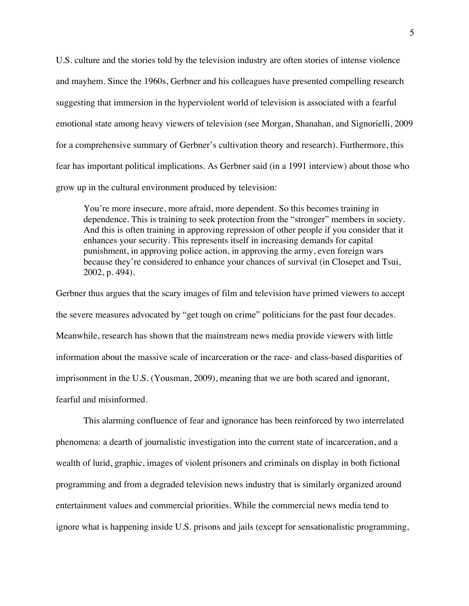U.S. culture and the stories told by the television industry are often stories of intense violence and mayhem. Since the 1960s, Gerbner and his colleagues have presented compelling research suggesting that immersion in the hyperviolent world of television is associated with a fearful emotional state among heavy viewers of television (see Morgan, Shanahan, and Signorielli, 2009 for a comprehensive summary of Gerbner's cultivation theory and research). Furthermore, this fear has important political implications. As Gerbner said (in a 1991 interview) about those who grow up in the cultural environment produced by television:

You're more insecure, more afraid, more dependent. So this becomes training in dependence. This is training to seek protection from the "stronger" members in society. And this is often training in approving repression of other people if you consider that it enhances your security. This represents itself in increasing demands for capital punishment, in approving police action, in approving the army, even foreign wars because they're considered to enhance your chances of survival (in Closepet and Tsui, 2002, p. 494).

Gerbner thus argues that the scary images of film and television have primed viewers to accept the severe measures advocated by "get tough on crime" politicians for the past four decades. Meanwhile, research has shown that the mainstream news media provide viewers with little information about the massive scale of incarceration or the race- and class-based disparities of imprisonment in the U.S. (Yousman, 2009), meaning that we are both scared and ignorant, fearful and misinformed.

This alarming confluence of fear and ignorance has been reinforced by two interrelated phenomena: a dearth of journalistic investigation into the current state of incarceration, and a wealth of lurid, graphic, images of violent prisoners and criminals on display in both fictional programming and from a degraded television news industry that is similarly organized around entertainment values and commercial priorities. While the commercial news media tend to ignore what is happening inside U.S. prisons and jails (except for sensationalistic programming,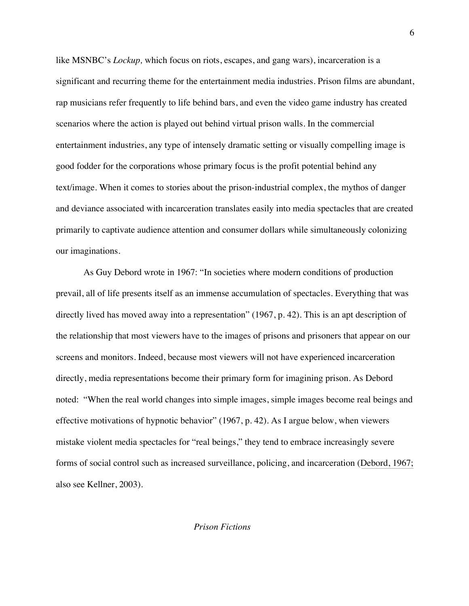like MSNBC's *Lockup,* which focus on riots, escapes, and gang wars), incarceration is a significant and recurring theme for the entertainment media industries. Prison films are abundant, rap musicians refer frequently to life behind bars, and even the video game industry has created scenarios where the action is played out behind virtual prison walls. In the commercial entertainment industries, any type of intensely dramatic setting or visually compelling image is good fodder for the corporations whose primary focus is the profit potential behind any text/image. When it comes to stories about the prison-industrial complex, the mythos of danger and deviance associated with incarceration translates easily into media spectacles that are created primarily to captivate audience attention and consumer dollars while simultaneously colonizing our imaginations.

 As Guy Debord wrote in 1967: "In societies where modern conditions of production prevail, all of life presents itself as an immense accumulation of spectacles. Everything that was directly lived has moved away into a representation" (1967, p. 42). This is an apt description of the relationship that most viewers have to the images of prisons and prisoners that appear on our screens and monitors. Indeed, because most viewers will not have experienced incarceration directly, media representations become their primary form for imagining prison. As Debord noted: "When the real world changes into simple images, simple images become real beings and effective motivations of hypnotic behavior" (1967, p. 42). As I argue below, when viewers mistake violent media spectacles for "real beings," they tend to embrace increasingly severe forms of social control such as increased surveillance, policing, and incarceration ([Debord, 1967;](https://www.researchgate.net/publication/256599875_The_Society_of_Spectacle?el=1_x_8&enrichId=rgreq-6ed02ae2f8bc4260c167b29f34983fdc-XXX&enrichSource=Y292ZXJQYWdlOzI5MTEwODI4MztBUzozNzM0MzMxMzg0NjY4MTZAMTQ2NjA0NDgwNjM0Ng==)  also see Kellner, 2003).

## *Prison Fictions*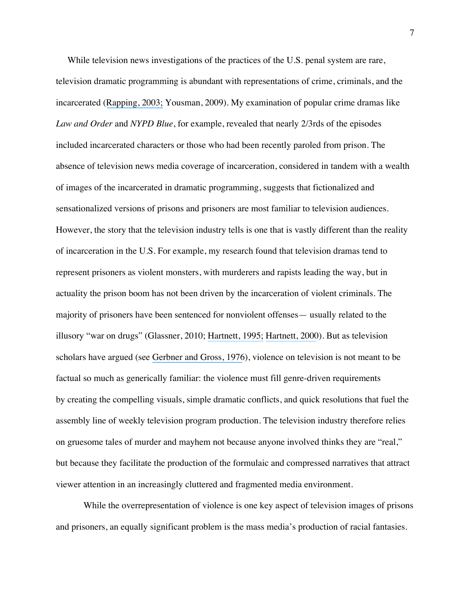While television news investigations of the practices of the U.S. penal system are rare, television dramatic programming is abundant with representations of crime, criminals, and the incarcerated ([Rapping, 2003;](https://www.researchgate.net/publication/291106254_Law_and_Justice_as_Seen_on_TV?el=1_x_8&enrichId=rgreq-6ed02ae2f8bc4260c167b29f34983fdc-XXX&enrichSource=Y292ZXJQYWdlOzI5MTEwODI4MztBUzozNzM0MzMxMzg0NjY4MTZAMTQ2NjA0NDgwNjM0Ng==) Yousman, 2009). My examination of popular crime dramas like *Law and Order* and *NYPD Blue*, for example, revealed that nearly 2/3rds of the episodes included incarcerated characters or those who had been recently paroled from prison. The absence of television news media coverage of incarceration, considered in tandem with a wealth of images of the incarcerated in dramatic programming, suggests that fictionalized and sensationalized versions of prisons and prisoners are most familiar to television audiences. However, the story that the television industry tells is one that is vastly different than the reality of incarceration in the U.S. For example, my research found that television dramas tend to represent prisoners as violent monsters, with murderers and rapists leading the way, but in actuality the prison boom has not been driven by the incarceration of violent criminals. The majority of prisoners have been sentenced for nonviolent offenses— usually related to the illusory "war on drugs" (Glassner, 2010; [Hartnett, 1995;](https://www.researchgate.net/publication/228022929_Imperial_Ideologies_Media_Hysteria_Racism_and_the_Addiction_to_the_War_on_Drugs?el=1_x_8&enrichId=rgreq-6ed02ae2f8bc4260c167b29f34983fdc-XXX&enrichSource=Y292ZXJQYWdlOzI5MTEwODI4MztBUzozNzM0MzMxMzg0NjY4MTZAMTQ2NjA0NDgwNjM0Ng==) [Hartnett, 2000](https://www.researchgate.net/publication/238431767_A_Rhetorical_Critique_of_the_Drug_War_Slavery_and_the_Nauseous_Pendulum_of_Reason_and_Violence?el=1_x_8&enrichId=rgreq-6ed02ae2f8bc4260c167b29f34983fdc-XXX&enrichSource=Y292ZXJQYWdlOzI5MTEwODI4MztBUzozNzM0MzMxMzg0NjY4MTZAMTQ2NjA0NDgwNjM0Ng==)). But as television scholars have argued (see [Gerbner and Gross, 1976](https://www.researchgate.net/publication/22223200_Living_With_Television_The_Violence_Profile?el=1_x_8&enrichId=rgreq-6ed02ae2f8bc4260c167b29f34983fdc-XXX&enrichSource=Y292ZXJQYWdlOzI5MTEwODI4MztBUzozNzM0MzMxMzg0NjY4MTZAMTQ2NjA0NDgwNjM0Ng==)), violence on television is not meant to be factual so much as generically familiar: the violence must fill genre-driven requirements by creating the compelling visuals, simple dramatic conflicts, and quick resolutions that fuel the assembly line of weekly television program production. The television industry therefore relies on gruesome tales of murder and mayhem not because anyone involved thinks they are "real," but because they facilitate the production of the formulaic and compressed narratives that attract viewer attention in an increasingly cluttered and fragmented media environment.

 While the overrepresentation of violence is one key aspect of television images of prisons and prisoners, an equally significant problem is the mass media's production of racial fantasies.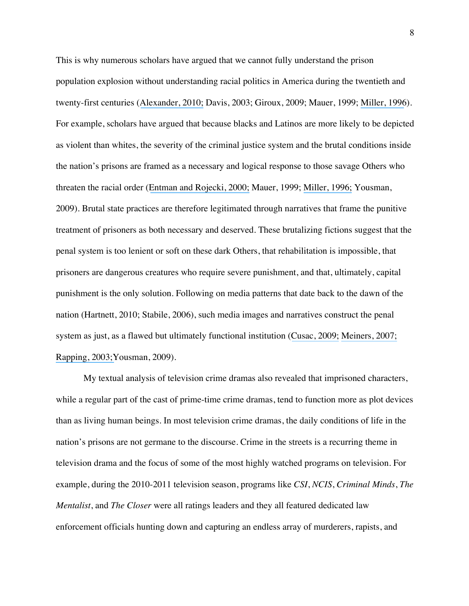This is why numerous scholars have argued that we cannot fully understand the prison population explosion without understanding racial politics in America during the twentieth and twenty-first centuries ([Alexander, 2010;](https://www.researchgate.net/publication/281453268_The_New_Jim_Crow_Mass_Incarceration_in_an_Age_of_Color_Blindness?el=1_x_8&enrichId=rgreq-6ed02ae2f8bc4260c167b29f34983fdc-XXX&enrichSource=Y292ZXJQYWdlOzI5MTEwODI4MztBUzozNzM0MzMxMzg0NjY4MTZAMTQ2NjA0NDgwNjM0Ng==) Davis, 2003; Giroux, 2009; Mauer, 1999; [Miller, 1996](https://www.researchgate.net/publication/281453207_Search_and_Destroy_The_Plight_of_African_American_Males_in_the_Criminal_Justice_System?el=1_x_8&enrichId=rgreq-6ed02ae2f8bc4260c167b29f34983fdc-XXX&enrichSource=Y292ZXJQYWdlOzI5MTEwODI4MztBUzozNzM0MzMxMzg0NjY4MTZAMTQ2NjA0NDgwNjM0Ng==)). For example, scholars have argued that because blacks and Latinos are more likely to be depicted as violent than whites, the severity of the criminal justice system and the brutal conditions inside the nation's prisons are framed as a necessary and logical response to those savage Others who threaten the racial order ([Entman and Rojecki, 2000;](https://www.researchgate.net/publication/41113662_The_Black_Image_in_the_White_Mind_Media_and_Race_in_America?el=1_x_8&enrichId=rgreq-6ed02ae2f8bc4260c167b29f34983fdc-XXX&enrichSource=Y292ZXJQYWdlOzI5MTEwODI4MztBUzozNzM0MzMxMzg0NjY4MTZAMTQ2NjA0NDgwNjM0Ng==) Mauer, 1999; [Miller, 1996;](https://www.researchgate.net/publication/281453207_Search_and_Destroy_The_Plight_of_African_American_Males_in_the_Criminal_Justice_System?el=1_x_8&enrichId=rgreq-6ed02ae2f8bc4260c167b29f34983fdc-XXX&enrichSource=Y292ZXJQYWdlOzI5MTEwODI4MztBUzozNzM0MzMxMzg0NjY4MTZAMTQ2NjA0NDgwNjM0Ng==) Yousman, 2009). Brutal state practices are therefore legitimated through narratives that frame the punitive treatment of prisoners as both necessary and deserved. These brutalizing fictions suggest that the penal system is too lenient or soft on these dark Others, that rehabilitation is impossible, that prisoners are dangerous creatures who require severe punishment, and that, ultimately, capital punishment is the only solution. Following on media patterns that date back to the dawn of the nation (Hartnett, 2010; Stabile, 2006), such media images and narratives construct the penal system as just, as a flawed but ultimately functional institution ([Cusac, 2009;](https://www.researchgate.net/publication/290959808_Cruel_and_unusual_The_culture_of_punishment_in_America?el=1_x_8&enrichId=rgreq-6ed02ae2f8bc4260c167b29f34983fdc-XXX&enrichSource=Y292ZXJQYWdlOzI5MTEwODI4MztBUzozNzM0MzMxMzg0NjY4MTZAMTQ2NjA0NDgwNjM0Ng==) [Meiners, 2007;](https://www.researchgate.net/publication/287055938_Right_to_be_hostile_Schools_prisons_and_the_making_of_public_enemies?el=1_x_8&enrichId=rgreq-6ed02ae2f8bc4260c167b29f34983fdc-XXX&enrichSource=Y292ZXJQYWdlOzI5MTEwODI4MztBUzozNzM0MzMxMzg0NjY4MTZAMTQ2NjA0NDgwNjM0Ng==) [Rapping, 2003;Y](https://www.researchgate.net/publication/291106254_Law_and_Justice_as_Seen_on_TV?el=1_x_8&enrichId=rgreq-6ed02ae2f8bc4260c167b29f34983fdc-XXX&enrichSource=Y292ZXJQYWdlOzI5MTEwODI4MztBUzozNzM0MzMxMzg0NjY4MTZAMTQ2NjA0NDgwNjM0Ng==)ousman, 2009).

 My textual analysis of television crime dramas also revealed that imprisoned characters, while a regular part of the cast of prime-time crime dramas, tend to function more as plot devices than as living human beings. In most television crime dramas, the daily conditions of life in the nation's prisons are not germane to the discourse. Crime in the streets is a recurring theme in television drama and the focus of some of the most highly watched programs on television. For example, during the 2010-2011 television season, programs like *CSI*, *NCIS*, *Criminal Minds*, *The Mentalist*, and *The Closer* were all ratings leaders and they all featured dedicated law enforcement officials hunting down and capturing an endless array of murderers, rapists, and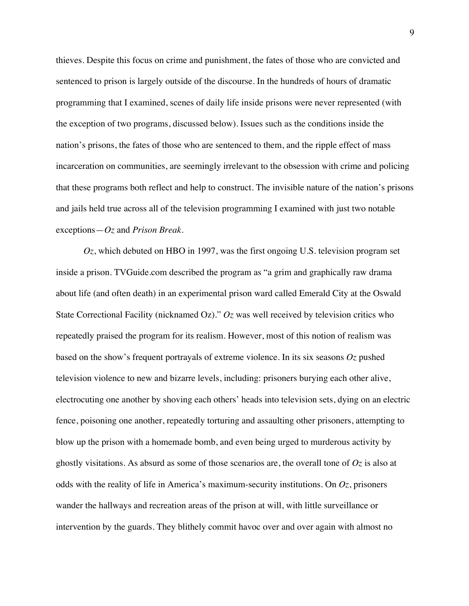thieves. Despite this focus on crime and punishment, the fates of those who are convicted and sentenced to prison is largely outside of the discourse. In the hundreds of hours of dramatic programming that I examined, scenes of daily life inside prisons were never represented (with the exception of two programs, discussed below). Issues such as the conditions inside the nation's prisons, the fates of those who are sentenced to them, and the ripple effect of mass incarceration on communities, are seemingly irrelevant to the obsession with crime and policing that these programs both reflect and help to construct. The invisible nature of the nation's prisons and jails held true across all of the television programming I examined with just two notable exceptions—*Oz* and *Prison Break*.

 *Oz*, which debuted on HBO in 1997, was the first ongoing U.S. television program set inside a prison. TVGuide.com described the program as "a grim and graphically raw drama about life (and often death) in an experimental prison ward called Emerald City at the Oswald State Correctional Facility (nicknamed Oz)." *Oz* was well received by television critics who repeatedly praised the program for its realism. However, most of this notion of realism was based on the show's frequent portrayals of extreme violence. In its six seasons *Oz* pushed television violence to new and bizarre levels, including: prisoners burying each other alive, electrocuting one another by shoving each others' heads into television sets, dying on an electric fence, poisoning one another, repeatedly torturing and assaulting other prisoners, attempting to blow up the prison with a homemade bomb, and even being urged to murderous activity by ghostly visitations. As absurd as some of those scenarios are, the overall tone of *Oz* is also at odds with the reality of life in America's maximum-security institutions. On *Oz*, prisoners wander the hallways and recreation areas of the prison at will, with little surveillance or intervention by the guards. They blithely commit havoc over and over again with almost no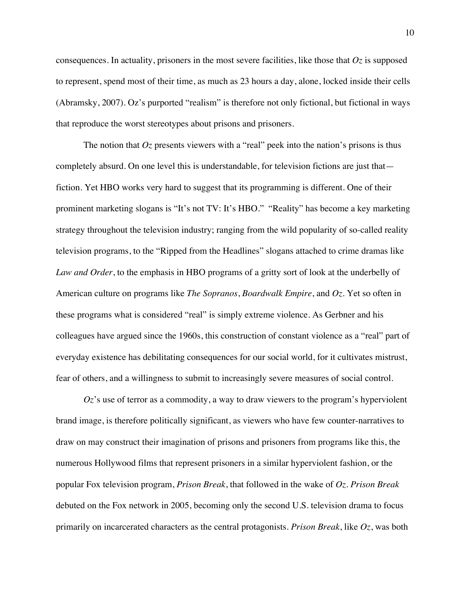consequences. In actuality, prisoners in the most severe facilities, like those that  $Oz$  is supposed to represent, spend most of their time, as much as 23 hours a day, alone, locked inside their cells (Abramsky, 2007). Oz's purported "realism" is therefore not only fictional, but fictional in ways that reproduce the worst stereotypes about prisons and prisoners.

The notion that  $Oz$  presents viewers with a "real" peek into the nation's prisons is thus completely absurd. On one level this is understandable, for television fictions are just that fiction. Yet HBO works very hard to suggest that its programming is different. One of their prominent marketing slogans is "It's not TV: It's HBO." "Reality" has become a key marketing strategy throughout the television industry; ranging from the wild popularity of so-called reality television programs, to the "Ripped from the Headlines" slogans attached to crime dramas like *Law and Order*, to the emphasis in HBO programs of a gritty sort of look at the underbelly of American culture on programs like *The Sopranos*, *Boardwalk Empire*, and *Oz*. Yet so often in these programs what is considered "real" is simply extreme violence. As Gerbner and his colleagues have argued since the 1960s, this construction of constant violence as a "real" part of everyday existence has debilitating consequences for our social world, for it cultivates mistrust, fear of others, and a willingness to submit to increasingly severe measures of social control.

*Oz*'s use of terror as a commodity, a way to draw viewers to the program's hyperviolent brand image, is therefore politically significant, as viewers who have few counter-narratives to draw on may construct their imagination of prisons and prisoners from programs like this, the numerous Hollywood films that represent prisoners in a similar hyperviolent fashion, or the popular Fox television program, *Prison Break*, that followed in the wake of *Oz*. *Prison Break*  debuted on the Fox network in 2005, becoming only the second U.S. television drama to focus primarily on incarcerated characters as the central protagonists. *Prison Break*, like *Oz*, was both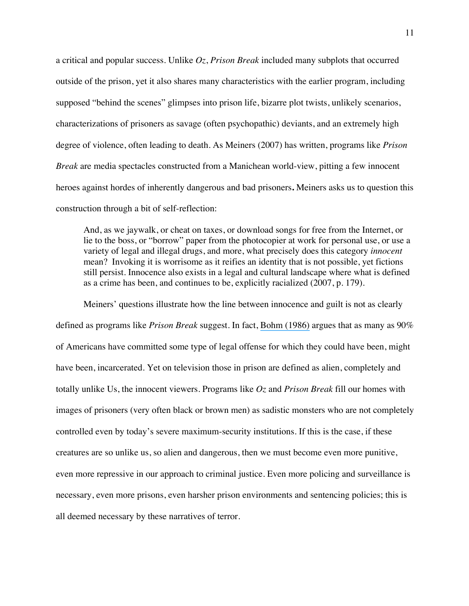a critical and popular success. Unlike *Oz*, *Prison Break* included many subplots that occurred outside of the prison, yet it also shares many characteristics with the earlier program, including supposed "behind the scenes" glimpses into prison life, bizarre plot twists, unlikely scenarios, characterizations of prisoners as savage (often psychopathic) deviants, and an extremely high degree of violence, often leading to death. As Meiners (2007) has written, programs like *Prison Break* are media spectacles constructed from a Manichean world-view, pitting a few innocent heroes against hordes of inherently dangerous and bad prisoners**.** Meiners asks us to question this construction through a bit of self-reflection:

And, as we jaywalk, or cheat on taxes, or download songs for free from the Internet, or lie to the boss, or "borrow" paper from the photocopier at work for personal use, or use a variety of legal and illegal drugs, and more, what precisely does this category *innocent* mean? Invoking it is worrisome as it reifies an identity that is not possible, yet fictions still persist. Innocence also exists in a legal and cultural landscape where what is defined as a crime has been, and continues to be, explicitly racialized (2007, p. 179).

 Meiners' questions illustrate how the line between innocence and guilt is not as clearly defined as programs like *Prison Break* suggest. In fact, [Bohm \(1986\)](https://www.researchgate.net/publication/237956956_Crime_criminal_and_crime_control_policy_myths?el=1_x_8&enrichId=rgreq-6ed02ae2f8bc4260c167b29f34983fdc-XXX&enrichSource=Y292ZXJQYWdlOzI5MTEwODI4MztBUzozNzM0MzMxMzg0NjY4MTZAMTQ2NjA0NDgwNjM0Ng==) argues that as many as 90% of Americans have committed some type of legal offense for which they could have been, might have been, incarcerated. Yet on television those in prison are defined as alien, completely and totally unlike Us, the innocent viewers. Programs like *Oz* and *Prison Break* fill our homes with images of prisoners (very often black or brown men) as sadistic monsters who are not completely controlled even by today's severe maximum-security institutions. If this is the case, if these creatures are so unlike us, so alien and dangerous, then we must become even more punitive, even more repressive in our approach to criminal justice. Even more policing and surveillance is necessary, even more prisons, even harsher prison environments and sentencing policies; this is all deemed necessary by these narratives of terror.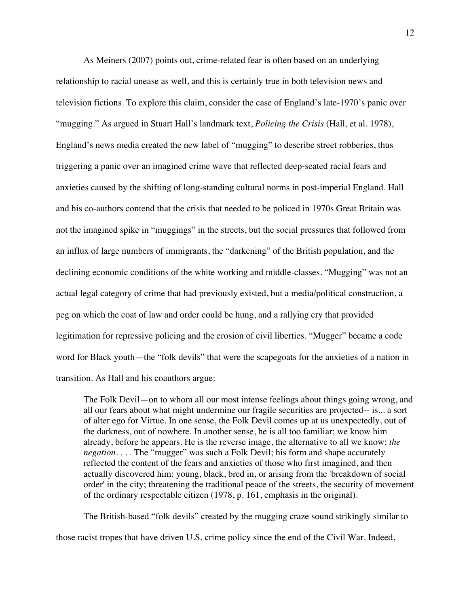As Meiners (2007) points out, crime-related fear is often based on an underlying relationship to racial unease as well, and this is certainly true in both television news and television fictions. To explore this claim, consider the case of England's late-1970's panic over "mugging." As argued in Stuart Hall's landmark text, *Policing the Crisis* ([Hall, et al. 1978](https://www.researchgate.net/publication/270664913_Policing_the_Crisis_Mugging_The_State_and_Law_and_Order?el=1_x_8&enrichId=rgreq-6ed02ae2f8bc4260c167b29f34983fdc-XXX&enrichSource=Y292ZXJQYWdlOzI5MTEwODI4MztBUzozNzM0MzMxMzg0NjY4MTZAMTQ2NjA0NDgwNjM0Ng==)), England's news media created the new label of "mugging" to describe street robberies, thus triggering a panic over an imagined crime wave that reflected deep-seated racial fears and anxieties caused by the shifting of long-standing cultural norms in post-imperial England. Hall and his co-authors contend that the crisis that needed to be policed in 1970s Great Britain was not the imagined spike in "muggings" in the streets, but the social pressures that followed from an influx of large numbers of immigrants, the "darkening" of the British population, and the declining economic conditions of the white working and middle-classes. "Mugging" was not an actual legal category of crime that had previously existed, but a media/political construction, a peg on which the coat of law and order could be hung, and a rallying cry that provided legitimation for repressive policing and the erosion of civil liberties. "Mugger" became a code word for Black youth—the "folk devils" that were the scapegoats for the anxieties of a nation in transition. As Hall and his coauthors argue:

The Folk Devil—on to whom all our most intense feelings about things going wrong, and all our fears about what might undermine our fragile securities are projected-- is... a sort of alter ego for Virtue. In one sense, the Folk Devil comes up at us unexpectedly, out of the darkness, out of nowhere. In another sense, he is all too familiar; we know him already, before he appears. He is the reverse image, the alternative to all we know: *the negation*. . . . The "mugger" was such a Folk Devil; his form and shape accurately reflected the content of the fears and anxieties of those who first imagined, and then actually discovered him: young, black, bred in, or arising from the 'breakdown of social order' in the city; threatening the traditional peace of the streets, the security of movement of the ordinary respectable citizen (1978, p. 161, emphasis in the original).

 The British-based "folk devils" created by the mugging craze sound strikingly similar to those racist tropes that have driven U.S. crime policy since the end of the Civil War. Indeed,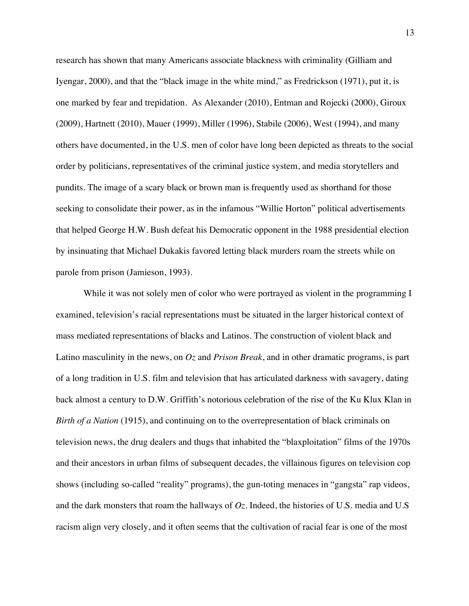research has shown that many Americans associate blackness with criminality (Gilliam and Iyengar, 2000), and that the "black image in the white mind," as Fredrickson (1971), put it, is one marked by fear and trepidation. As Alexander (2010), Entman and Rojecki (2000), Giroux (2009), Hartnett (2010), Mauer (1999), Miller (1996), Stabile (2006), West (1994), and many others have documented, in the U.S. men of color have long been depicted as threats to the social order by politicians, representatives of the criminal justice system, and media storytellers and pundits. The image of a scary black or brown man is frequently used as shorthand for those seeking to consolidate their power, as in the infamous "Willie Horton" political advertisements that helped George H.W. Bush defeat his Democratic opponent in the 1988 presidential election by insinuating that Michael Dukakis favored letting black murders roam the streets while on parole from prison (Jamieson, 1993).

While it was not solely men of color who were portrayed as violent in the programming I examined, television's racial representations must be situated in the larger historical context of mass mediated representations of blacks and Latinos. The construction of violent black and Latino masculinity in the news, on *Oz* and *Prison Break*, and in other dramatic programs, is part of a long tradition in U.S. film and television that has articulated darkness with savagery, dating back almost a century to D.W. Griffith's notorious celebration of the rise of the Ku Klux Klan in *Birth of a Nation* (1915), and continuing on to the overrepresentation of black criminals on television news, the drug dealers and thugs that inhabited the "blaxploitation" films of the 1970s and their ancestors in urban films of subsequent decades, the villainous figures on television cop shows (including so-called "reality" programs), the gun-toting menaces in "gangsta" rap videos, and the dark monsters that roam the hallways of *Oz*. Indeed, the histories of U.S. media and U.S racism align very closely, and it often seems that the cultivation of racial fear is one of the most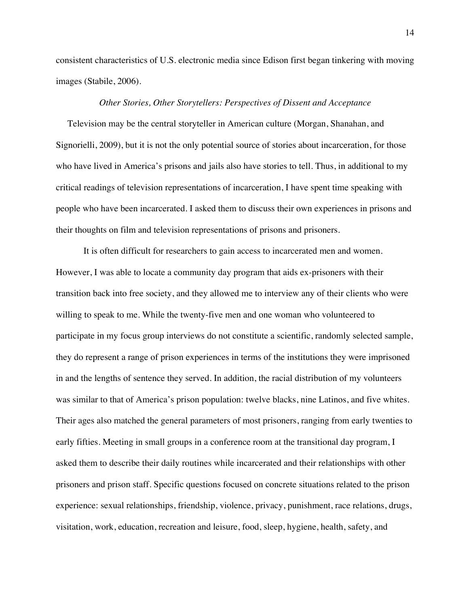consistent characteristics of U.S. electronic media since Edison first began tinkering with moving images (Stabile, 2006).

### *Other Stories, Other Storytellers: Perspectives of Dissent and Acceptance*

 Television may be the central storyteller in American culture (Morgan, Shanahan, and Signorielli, 2009), but it is not the only potential source of stories about incarceration, for those who have lived in America's prisons and jails also have stories to tell. Thus, in additional to my critical readings of television representations of incarceration, I have spent time speaking with people who have been incarcerated. I asked them to discuss their own experiences in prisons and their thoughts on film and television representations of prisons and prisoners.

 It is often difficult for researchers to gain access to incarcerated men and women. However, I was able to locate a community day program that aids ex-prisoners with their transition back into free society, and they allowed me to interview any of their clients who were willing to speak to me. While the twenty-five men and one woman who volunteered to participate in my focus group interviews do not constitute a scientific, randomly selected sample, they do represent a range of prison experiences in terms of the institutions they were imprisoned in and the lengths of sentence they served. In addition, the racial distribution of my volunteers was similar to that of America's prison population: twelve blacks, nine Latinos, and five whites. Their ages also matched the general parameters of most prisoners, ranging from early twenties to early fifties. Meeting in small groups in a conference room at the transitional day program, I asked them to describe their daily routines while incarcerated and their relationships with other prisoners and prison staff. Specific questions focused on concrete situations related to the prison experience: sexual relationships, friendship, violence, privacy, punishment, race relations, drugs, visitation, work, education, recreation and leisure, food, sleep, hygiene, health, safety, and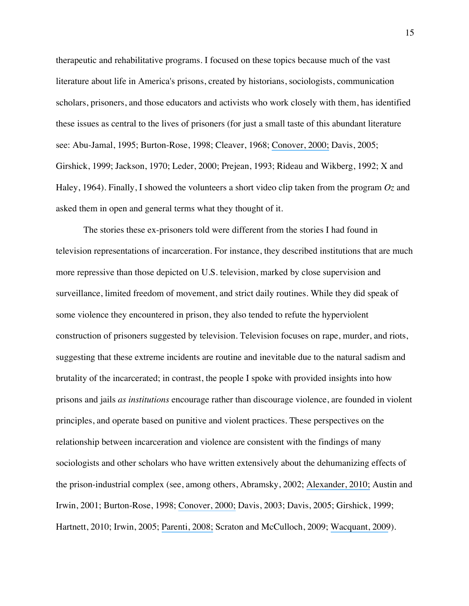therapeutic and rehabilitative programs. I focused on these topics because much of the vast literature about life in America's prisons, created by historians, sociologists, communication scholars, prisoners, and those educators and activists who work closely with them, has identified these issues as central to the lives of prisoners (for just a small taste of this abundant literature see: Abu-Jamal, 1995; Burton-Rose, 1998; Cleaver, 1968; [Conover, 2000;](https://www.researchgate.net/publication/240137672_Newjack_Guarding_Sing_Sing?el=1_x_8&enrichId=rgreq-6ed02ae2f8bc4260c167b29f34983fdc-XXX&enrichSource=Y292ZXJQYWdlOzI5MTEwODI4MztBUzozNzM0MzMxMzg0NjY4MTZAMTQ2NjA0NDgwNjM0Ng==) Davis, 2005; Girshick, 1999; Jackson, 1970; Leder, 2000; Prejean, 1993; Rideau and Wikberg, 1992; X and Haley, 1964). Finally, I showed the volunteers a short video clip taken from the program *Oz* and asked them in open and general terms what they thought of it.

 The stories these ex-prisoners told were different from the stories I had found in television representations of incarceration. For instance, they described institutions that are much more repressive than those depicted on U.S. television, marked by close supervision and surveillance, limited freedom of movement, and strict daily routines. While they did speak of some violence they encountered in prison, they also tended to refute the hyperviolent construction of prisoners suggested by television. Television focuses on rape, murder, and riots, suggesting that these extreme incidents are routine and inevitable due to the natural sadism and brutality of the incarcerated; in contrast, the people I spoke with provided insights into how prisons and jails *as institutions* encourage rather than discourage violence, are founded in violent principles, and operate based on punitive and violent practices. These perspectives on the relationship between incarceration and violence are consistent with the findings of many sociologists and other scholars who have written extensively about the dehumanizing effects of the prison-industrial complex (see, among others, Abramsky, 2002; [Alexander, 2010;](https://www.researchgate.net/publication/281453268_The_New_Jim_Crow_Mass_Incarceration_in_an_Age_of_Color_Blindness?el=1_x_8&enrichId=rgreq-6ed02ae2f8bc4260c167b29f34983fdc-XXX&enrichSource=Y292ZXJQYWdlOzI5MTEwODI4MztBUzozNzM0MzMxMzg0NjY4MTZAMTQ2NjA0NDgwNjM0Ng==) Austin and Irwin, 2001; Burton-Rose, 1998; [Conover, 2000;](https://www.researchgate.net/publication/240137672_Newjack_Guarding_Sing_Sing?el=1_x_8&enrichId=rgreq-6ed02ae2f8bc4260c167b29f34983fdc-XXX&enrichSource=Y292ZXJQYWdlOzI5MTEwODI4MztBUzozNzM0MzMxMzg0NjY4MTZAMTQ2NjA0NDgwNjM0Ng==) Davis, 2003; Davis, 2005; Girshick, 1999; Hartnett, 2010; Irwin, 2005; [Parenti, 2008;](https://www.researchgate.net/publication/235359336_Lockdown_America_Police_and_Prisons_in_an_Age_of_Crisis?el=1_x_8&enrichId=rgreq-6ed02ae2f8bc4260c167b29f34983fdc-XXX&enrichSource=Y292ZXJQYWdlOzI5MTEwODI4MztBUzozNzM0MzMxMzg0NjY4MTZAMTQ2NjA0NDgwNjM0Ng==) Scraton and McCulloch, 2009; [Wacquant, 2009](https://www.researchgate.net/publication/37720726_Punishing_The_Poor_The_Neoliberal_Government_Of_Social_Insecurity?el=1_x_8&enrichId=rgreq-6ed02ae2f8bc4260c167b29f34983fdc-XXX&enrichSource=Y292ZXJQYWdlOzI5MTEwODI4MztBUzozNzM0MzMxMzg0NjY4MTZAMTQ2NjA0NDgwNjM0Ng==)).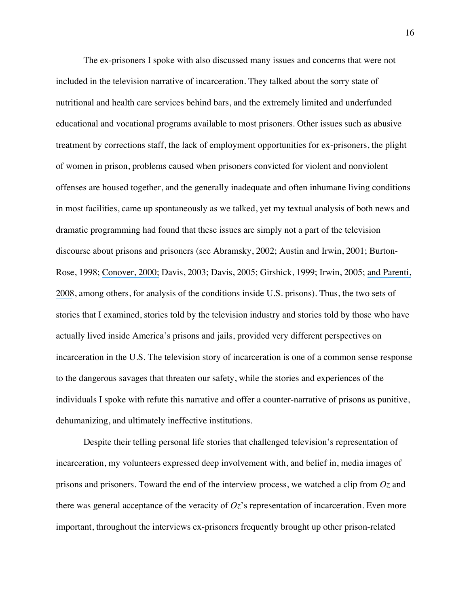The ex-prisoners I spoke with also discussed many issues and concerns that were not included in the television narrative of incarceration. They talked about the sorry state of nutritional and health care services behind bars, and the extremely limited and underfunded educational and vocational programs available to most prisoners. Other issues such as abusive treatment by corrections staff, the lack of employment opportunities for ex-prisoners, the plight of women in prison, problems caused when prisoners convicted for violent and nonviolent offenses are housed together, and the generally inadequate and often inhumane living conditions in most facilities, came up spontaneously as we talked, yet my textual analysis of both news and dramatic programming had found that these issues are simply not a part of the television discourse about prisons and prisoners (see Abramsky, 2002; Austin and Irwin, 2001; Burton-Rose, 1998; [Conover, 2000;](https://www.researchgate.net/publication/240137672_Newjack_Guarding_Sing_Sing?el=1_x_8&enrichId=rgreq-6ed02ae2f8bc4260c167b29f34983fdc-XXX&enrichSource=Y292ZXJQYWdlOzI5MTEwODI4MztBUzozNzM0MzMxMzg0NjY4MTZAMTQ2NjA0NDgwNjM0Ng==) Davis, 2003; Davis, 2005; Girshick, 1999; Irwin, 2005; [and Parenti,](https://www.researchgate.net/publication/235359336_Lockdown_America_Police_and_Prisons_in_an_Age_of_Crisis?el=1_x_8&enrichId=rgreq-6ed02ae2f8bc4260c167b29f34983fdc-XXX&enrichSource=Y292ZXJQYWdlOzI5MTEwODI4MztBUzozNzM0MzMxMzg0NjY4MTZAMTQ2NjA0NDgwNjM0Ng==) [2008](https://www.researchgate.net/publication/235359336_Lockdown_America_Police_and_Prisons_in_an_Age_of_Crisis?el=1_x_8&enrichId=rgreq-6ed02ae2f8bc4260c167b29f34983fdc-XXX&enrichSource=Y292ZXJQYWdlOzI5MTEwODI4MztBUzozNzM0MzMxMzg0NjY4MTZAMTQ2NjA0NDgwNjM0Ng==), among others, for analysis of the conditions inside U.S. prisons). Thus, the two sets of stories that I examined, stories told by the television industry and stories told by those who have actually lived inside America's prisons and jails, provided very different perspectives on incarceration in the U.S. The television story of incarceration is one of a common sense response to the dangerous savages that threaten our safety, while the stories and experiences of the individuals I spoke with refute this narrative and offer a counter-narrative of prisons as punitive, dehumanizing, and ultimately ineffective institutions.

Despite their telling personal life stories that challenged television's representation of incarceration, my volunteers expressed deep involvement with, and belief in, media images of prisons and prisoners. Toward the end of the interview process, we watched a clip from *Oz* and there was general acceptance of the veracity of *Oz*'s representation of incarceration. Even more important, throughout the interviews ex-prisoners frequently brought up other prison-related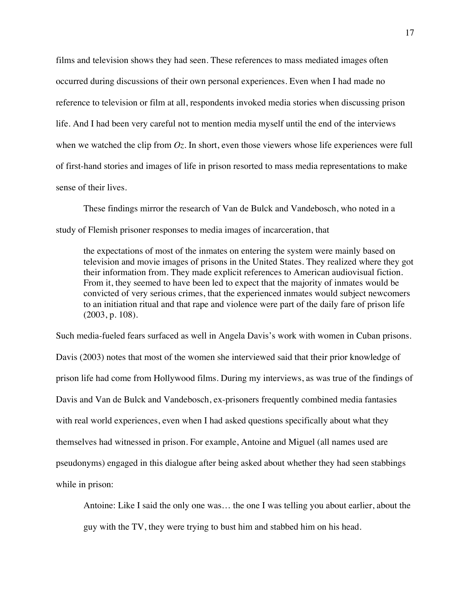films and television shows they had seen. These references to mass mediated images often occurred during discussions of their own personal experiences. Even when I had made no reference to television or film at all, respondents invoked media stories when discussing prison life. And I had been very careful not to mention media myself until the end of the interviews when we watched the clip from  $\overline{Oz}$ . In short, even those viewers whose life experiences were full of first-hand stories and images of life in prison resorted to mass media representations to make sense of their lives.

 These findings mirror the research of Van de Bulck and Vandebosch, who noted in a study of Flemish prisoner responses to media images of incarceration, that

the expectations of most of the inmates on entering the system were mainly based on television and movie images of prisons in the United States. They realized where they got their information from. They made explicit references to American audiovisual fiction. From it, they seemed to have been led to expect that the majority of inmates would be convicted of very serious crimes, that the experienced inmates would subject newcomers to an initiation ritual and that rape and violence were part of the daily fare of prison life (2003, p. 108).

Such media-fueled fears surfaced as well in Angela Davis's work with women in Cuban prisons. Davis (2003) notes that most of the women she interviewed said that their prior knowledge of prison life had come from Hollywood films. During my interviews, as was true of the findings of Davis and Van de Bulck and Vandebosch, ex-prisoners frequently combined media fantasies with real world experiences, even when I had asked questions specifically about what they themselves had witnessed in prison. For example, Antoine and Miguel (all names used are pseudonyms) engaged in this dialogue after being asked about whether they had seen stabbings while in prison:

Antoine: Like I said the only one was… the one I was telling you about earlier, about the guy with the TV, they were trying to bust him and stabbed him on his head.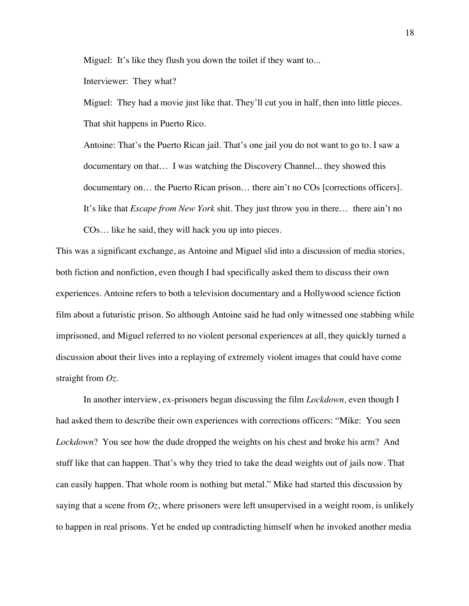Miguel: It's like they flush you down the toilet if they want to...

Interviewer: They what?

Miguel: They had a movie just like that. They'll cut you in half, then into little pieces. That shit happens in Puerto Rico.

Antoine: That's the Puerto Rican jail. That's one jail you do not want to go to. I saw a documentary on that… I was watching the Discovery Channel... they showed this documentary on… the Puerto Rican prison… there ain't no COs [corrections officers]. It's like that *Escape from New York* shit. They just throw you in there… there ain't no COs… like he said, they will hack you up into pieces.

This was a significant exchange, as Antoine and Miguel slid into a discussion of media stories, both fiction and nonfiction, even though I had specifically asked them to discuss their own experiences. Antoine refers to both a television documentary and a Hollywood science fiction film about a futuristic prison. So although Antoine said he had only witnessed one stabbing while imprisoned, and Miguel referred to no violent personal experiences at all, they quickly turned a discussion about their lives into a replaying of extremely violent images that could have come straight from *Oz.*

 In another interview, ex-prisoners began discussing the film *Lockdown,* even though I had asked them to describe their own experiences with corrections officers: "Mike: You seen *Lockdown*? You see how the dude dropped the weights on his chest and broke his arm? And stuff like that can happen. That's why they tried to take the dead weights out of jails now. That can easily happen. That whole room is nothing but metal." Mike had started this discussion by saying that a scene from  $Oz$ , where prisoners were left unsupervised in a weight room, is unlikely to happen in real prisons. Yet he ended up contradicting himself when he invoked another media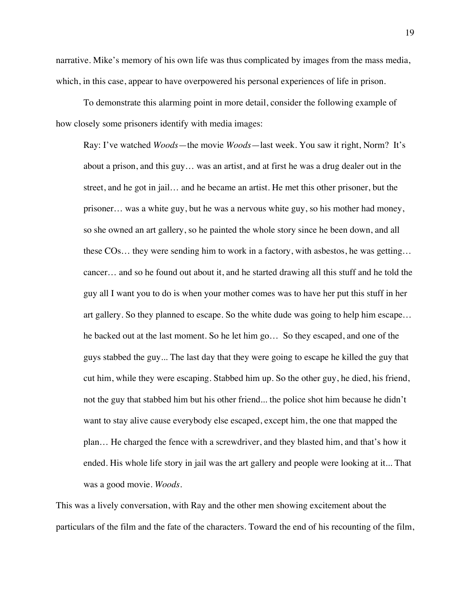narrative. Mike's memory of his own life was thus complicated by images from the mass media, which, in this case, appear to have overpowered his personal experiences of life in prison.

 To demonstrate this alarming point in more detail, consider the following example of how closely some prisoners identify with media images:

Ray: I've watched *Woods*—the movie *Woods*—last week. You saw it right, Norm? It's about a prison, and this guy… was an artist, and at first he was a drug dealer out in the street, and he got in jail… and he became an artist. He met this other prisoner, but the prisoner… was a white guy, but he was a nervous white guy, so his mother had money, so she owned an art gallery, so he painted the whole story since he been down, and all these COs… they were sending him to work in a factory, with asbestos, he was getting… cancer… and so he found out about it, and he started drawing all this stuff and he told the guy all I want you to do is when your mother comes was to have her put this stuff in her art gallery. So they planned to escape. So the white dude was going to help him escape… he backed out at the last moment. So he let him go… So they escaped, and one of the guys stabbed the guy... The last day that they were going to escape he killed the guy that cut him, while they were escaping. Stabbed him up. So the other guy, he died, his friend, not the guy that stabbed him but his other friend... the police shot him because he didn't want to stay alive cause everybody else escaped, except him, the one that mapped the plan… He charged the fence with a screwdriver, and they blasted him, and that's how it ended. His whole life story in jail was the art gallery and people were looking at it... That was a good movie. *Woods*.

This was a lively conversation, with Ray and the other men showing excitement about the particulars of the film and the fate of the characters. Toward the end of his recounting of the film,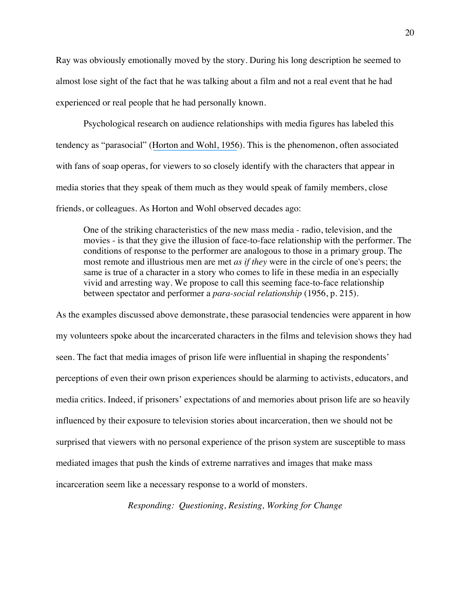Ray was obviously emotionally moved by the story. During his long description he seemed to almost lose sight of the fact that he was talking about a film and not a real event that he had experienced or real people that he had personally known.

Psychological research on audience relationships with media figures has labeled this tendency as "parasocial" ([Horton and Wohl, 1956](https://www.researchgate.net/publication/10206051_Mass_Communication_and_Parasocial_Interaction_Observations_on_Intimacy_at_a_Distance?el=1_x_8&enrichId=rgreq-6ed02ae2f8bc4260c167b29f34983fdc-XXX&enrichSource=Y292ZXJQYWdlOzI5MTEwODI4MztBUzozNzM0MzMxMzg0NjY4MTZAMTQ2NjA0NDgwNjM0Ng==)). This is the phenomenon, often associated with fans of soap operas, for viewers to so closely identify with the characters that appear in media stories that they speak of them much as they would speak of family members, close friends, or colleagues. As Horton and Wohl observed decades ago:

One of the striking characteristics of the new mass media - radio, television, and the movies - is that they give the illusion of face-to-face relationship with the performer. The conditions of response to the performer are analogous to those in a primary group. The most remote and illustrious men are met *as if they* were in the circle of one's peers; the same is true of a character in a story who comes to life in these media in an especially vivid and arresting way. We propose to call this seeming face-to-face relationship between spectator and performer a *para-social relationship* (1956, p. 215).

As the examples discussed above demonstrate, these parasocial tendencies were apparent in how my volunteers spoke about the incarcerated characters in the films and television shows they had seen. The fact that media images of prison life were influential in shaping the respondents' perceptions of even their own prison experiences should be alarming to activists, educators, and media critics. Indeed, if prisoners' expectations of and memories about prison life are so heavily influenced by their exposure to television stories about incarceration, then we should not be surprised that viewers with no personal experience of the prison system are susceptible to mass mediated images that push the kinds of extreme narratives and images that make mass incarceration seem like a necessary response to a world of monsters.

*Responding: Questioning, Resisting, Working for Change*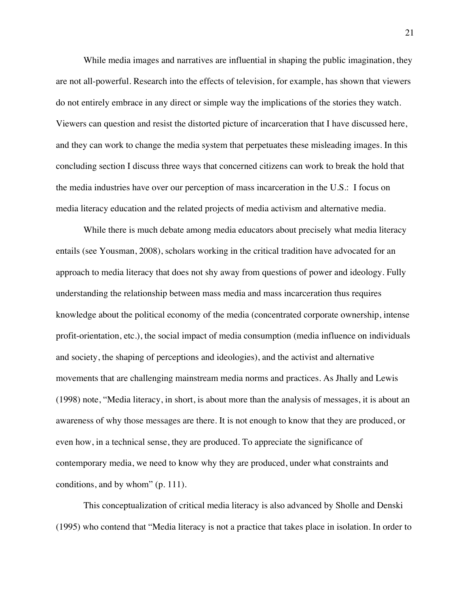While media images and narratives are influential in shaping the public imagination, they are not all-powerful. Research into the effects of television, for example, has shown that viewers do not entirely embrace in any direct or simple way the implications of the stories they watch. Viewers can question and resist the distorted picture of incarceration that I have discussed here, and they can work to change the media system that perpetuates these misleading images. In this concluding section I discuss three ways that concerned citizens can work to break the hold that the media industries have over our perception of mass incarceration in the U.S.: I focus on media literacy education and the related projects of media activism and alternative media.

While there is much debate among media educators about precisely what media literacy entails (see Yousman, 2008), scholars working in the critical tradition have advocated for an approach to media literacy that does not shy away from questions of power and ideology. Fully understanding the relationship between mass media and mass incarceration thus requires knowledge about the political economy of the media (concentrated corporate ownership, intense profit-orientation, etc.), the social impact of media consumption (media influence on individuals and society, the shaping of perceptions and ideologies), and the activist and alternative movements that are challenging mainstream media norms and practices. As Jhally and Lewis (1998) note, "Media literacy, in short, is about more than the analysis of messages, it is about an awareness of why those messages are there. It is not enough to know that they are produced, or even how, in a technical sense, they are produced. To appreciate the significance of contemporary media, we need to know why they are produced, under what constraints and conditions, and by whom" (p. 111).

This conceptualization of critical media literacy is also advanced by Sholle and Denski (1995) who contend that "Media literacy is not a practice that takes place in isolation. In order to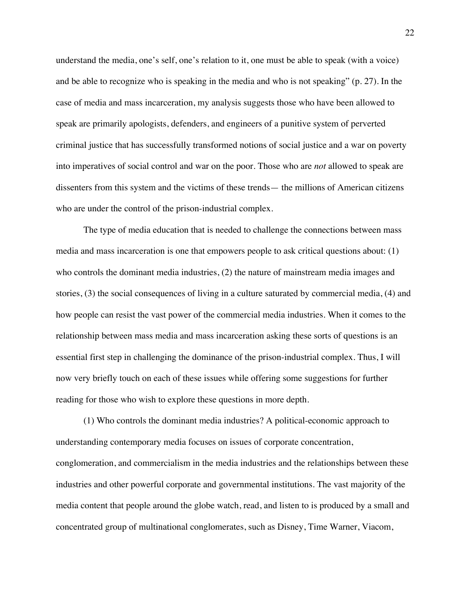understand the media, one's self, one's relation to it, one must be able to speak (with a voice) and be able to recognize who is speaking in the media and who is not speaking" (p. 27). In the case of media and mass incarceration, my analysis suggests those who have been allowed to speak are primarily apologists, defenders, and engineers of a punitive system of perverted criminal justice that has successfully transformed notions of social justice and a war on poverty into imperatives of social control and war on the poor. Those who are *not* allowed to speak are dissenters from this system and the victims of these trends— the millions of American citizens who are under the control of the prison-industrial complex.

 The type of media education that is needed to challenge the connections between mass media and mass incarceration is one that empowers people to ask critical questions about: (1) who controls the dominant media industries, (2) the nature of mainstream media images and stories, (3) the social consequences of living in a culture saturated by commercial media, (4) and how people can resist the vast power of the commercial media industries. When it comes to the relationship between mass media and mass incarceration asking these sorts of questions is an essential first step in challenging the dominance of the prison-industrial complex. Thus, I will now very briefly touch on each of these issues while offering some suggestions for further reading for those who wish to explore these questions in more depth.

 (1) Who controls the dominant media industries? A political-economic approach to understanding contemporary media focuses on issues of corporate concentration, conglomeration, and commercialism in the media industries and the relationships between these industries and other powerful corporate and governmental institutions. The vast majority of the media content that people around the globe watch, read, and listen to is produced by a small and concentrated group of multinational conglomerates, such as Disney, Time Warner, Viacom,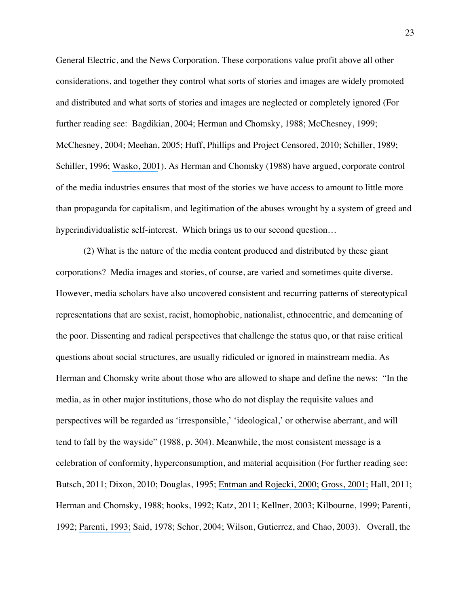General Electric, and the News Corporation. These corporations value profit above all other considerations, and together they control what sorts of stories and images are widely promoted and distributed and what sorts of stories and images are neglected or completely ignored (For further reading see: Bagdikian, 2004; Herman and Chomsky, 1988; McChesney, 1999; McChesney, 2004; Meehan, 2005; Huff, Phillips and Project Censored, 2010; Schiller, 1989; Schiller, 1996; [Wasko, 2001](https://www.researchgate.net/publication/285008862_Understanding_the_Disney_universe?el=1_x_8&enrichId=rgreq-6ed02ae2f8bc4260c167b29f34983fdc-XXX&enrichSource=Y292ZXJQYWdlOzI5MTEwODI4MztBUzozNzM0MzMxMzg0NjY4MTZAMTQ2NjA0NDgwNjM0Ng==)). As Herman and Chomsky (1988) have argued, corporate control of the media industries ensures that most of the stories we have access to amount to little more than propaganda for capitalism, and legitimation of the abuses wrought by a system of greed and hyperindividualistic self-interest. Which brings us to our second question…

 (2) What is the nature of the media content produced and distributed by these giant corporations? Media images and stories, of course, are varied and sometimes quite diverse. However, media scholars have also uncovered consistent and recurring patterns of stereotypical representations that are sexist, racist, homophobic, nationalist, ethnocentric, and demeaning of the poor. Dissenting and radical perspectives that challenge the status quo, or that raise critical questions about social structures, are usually ridiculed or ignored in mainstream media. As Herman and Chomsky write about those who are allowed to shape and define the news: "In the media, as in other major institutions, those who do not display the requisite values and perspectives will be regarded as 'irresponsible,' 'ideological,' or otherwise aberrant, and will tend to fall by the wayside" (1988, p. 304). Meanwhile, the most consistent message is a celebration of conformity, hyperconsumption, and material acquisition (For further reading see: Butsch, 2011; Dixon, 2010; Douglas, 1995; [Entman and Rojecki, 2000;](https://www.researchgate.net/publication/41113662_The_Black_Image_in_the_White_Mind_Media_and_Race_in_America?el=1_x_8&enrichId=rgreq-6ed02ae2f8bc4260c167b29f34983fdc-XXX&enrichSource=Y292ZXJQYWdlOzI5MTEwODI4MztBUzozNzM0MzMxMzg0NjY4MTZAMTQ2NjA0NDgwNjM0Ng==) [Gross, 2001;](https://www.researchgate.net/publication/281562721_Up_From_Invisibility_Lesbians_Gay_Men_and_the_Media_in_America?el=1_x_8&enrichId=rgreq-6ed02ae2f8bc4260c167b29f34983fdc-XXX&enrichSource=Y292ZXJQYWdlOzI5MTEwODI4MztBUzozNzM0MzMxMzg0NjY4MTZAMTQ2NjA0NDgwNjM0Ng==) Hall, 2011; Herman and Chomsky, 1988; hooks, 1992; Katz, 2011; Kellner, 2003; Kilbourne, 1999; Parenti, 1992; [Parenti, 1993;](https://www.researchgate.net/publication/270323828_Inventing_Reality_The_Politics_of_Mass_Media?el=1_x_8&enrichId=rgreq-6ed02ae2f8bc4260c167b29f34983fdc-XXX&enrichSource=Y292ZXJQYWdlOzI5MTEwODI4MztBUzozNzM0MzMxMzg0NjY4MTZAMTQ2NjA0NDgwNjM0Ng==) Said, 1978; Schor, 2004; Wilson, Gutierrez, and Chao, 2003). Overall, the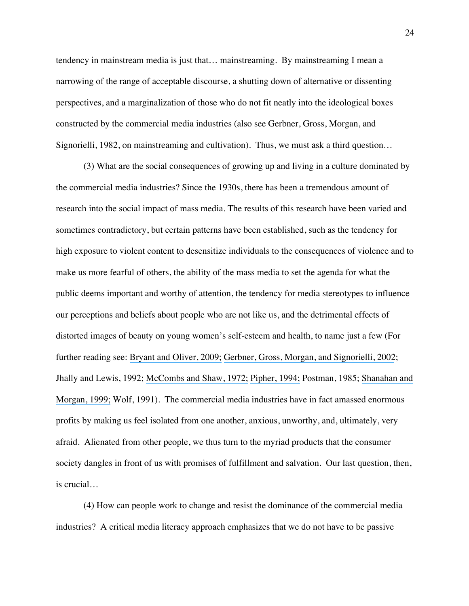tendency in mainstream media is just that… mainstreaming. By mainstreaming I mean a narrowing of the range of acceptable discourse, a shutting down of alternative or dissenting perspectives, and a marginalization of those who do not fit neatly into the ideological boxes constructed by the commercial media industries (also see Gerbner, Gross, Morgan, and Signorielli, 1982, on mainstreaming and cultivation). Thus, we must ask a third question…

(3) What are the social consequences of growing up and living in a culture dominated by the commercial media industries? Since the 1930s, there has been a tremendous amount of research into the social impact of mass media. The results of this research have been varied and sometimes contradictory, but certain patterns have been established, such as the tendency for high exposure to violent content to desensitize individuals to the consequences of violence and to make us more fearful of others, the ability of the mass media to set the agenda for what the public deems important and worthy of attention, the tendency for media stereotypes to influence our perceptions and beliefs about people who are not like us, and the detrimental effects of distorted images of beauty on young women's self-esteem and health, to name just a few (For further reading see: [Bryant and Oliver, 2009;](https://www.researchgate.net/publication/259257184_Media_effects_Advances_in_theory_and_research?el=1_x_8&enrichId=rgreq-6ed02ae2f8bc4260c167b29f34983fdc-XXX&enrichSource=Y292ZXJQYWdlOzI5MTEwODI4MztBUzozNzM0MzMxMzg0NjY4MTZAMTQ2NjA0NDgwNjM0Ng==) [Gerbner, Gross, Morgan, and Signorielli, 2002](https://www.researchgate.net/publication/232498956_Growing_up_with_television_The_cultivation_perspective?el=1_x_8&enrichId=rgreq-6ed02ae2f8bc4260c167b29f34983fdc-XXX&enrichSource=Y292ZXJQYWdlOzI5MTEwODI4MztBUzozNzM0MzMxMzg0NjY4MTZAMTQ2NjA0NDgwNjM0Ng==); Jhally and Lewis, 1992; [McCombs and Shaw, 1972;](https://www.researchgate.net/publication/209410047_The_Agenda-Setting_Function_of_Mass_Media?el=1_x_8&enrichId=rgreq-6ed02ae2f8bc4260c167b29f34983fdc-XXX&enrichSource=Y292ZXJQYWdlOzI5MTEwODI4MztBUzozNzM0MzMxMzg0NjY4MTZAMTQ2NjA0NDgwNjM0Ng==) [Pipher, 1994;](https://www.researchgate.net/publication/237131581_Reviving_Ophelia_Saving_the_Selves_of_Adolescent_Girls?el=1_x_8&enrichId=rgreq-6ed02ae2f8bc4260c167b29f34983fdc-XXX&enrichSource=Y292ZXJQYWdlOzI5MTEwODI4MztBUzozNzM0MzMxMzg0NjY4MTZAMTQ2NjA0NDgwNjM0Ng==) Postman, 1985; [Shanahan and](https://www.researchgate.net/publication/43128088_Television_and_Its_Viewers_Cultivation_Theory_and_Research?el=1_x_8&enrichId=rgreq-6ed02ae2f8bc4260c167b29f34983fdc-XXX&enrichSource=Y292ZXJQYWdlOzI5MTEwODI4MztBUzozNzM0MzMxMzg0NjY4MTZAMTQ2NjA0NDgwNjM0Ng==) [Morgan, 1999;](https://www.researchgate.net/publication/43128088_Television_and_Its_Viewers_Cultivation_Theory_and_Research?el=1_x_8&enrichId=rgreq-6ed02ae2f8bc4260c167b29f34983fdc-XXX&enrichSource=Y292ZXJQYWdlOzI5MTEwODI4MztBUzozNzM0MzMxMzg0NjY4MTZAMTQ2NjA0NDgwNjM0Ng==) Wolf, 1991). The commercial media industries have in fact amassed enormous profits by making us feel isolated from one another, anxious, unworthy, and, ultimately, very afraid. Alienated from other people, we thus turn to the myriad products that the consumer society dangles in front of us with promises of fulfillment and salvation. Our last question, then, is crucial…

(4) How can people work to change and resist the dominance of the commercial media industries? A critical media literacy approach emphasizes that we do not have to be passive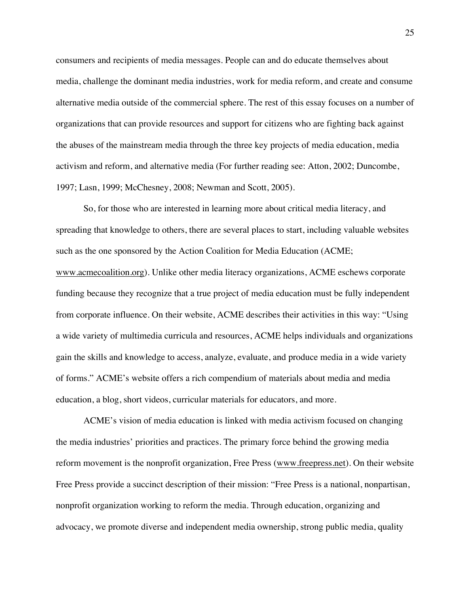consumers and recipients of media messages. People can and do educate themselves about media, challenge the dominant media industries, work for media reform, and create and consume alternative media outside of the commercial sphere. The rest of this essay focuses on a number of organizations that can provide resources and support for citizens who are fighting back against the abuses of the mainstream media through the three key projects of media education, media activism and reform, and alternative media (For further reading see: Atton, 2002; Duncombe, 1997; Lasn, 1999; McChesney, 2008; Newman and Scott, 2005).

 So, for those who are interested in learning more about critical media literacy, and spreading that knowledge to others, there are several places to start, including valuable websites such as the one sponsored by the Action Coalition for Media Education (ACME; [www.acmecoalition.org](http://www.acmecoalition.org)). Unlike other media literacy organizations, ACME eschews corporate funding because they recognize that a true project of media education must be fully independent from corporate influence. On their website, ACME describes their activities in this way: "Using a wide variety of multimedia curricula and resources, ACME helps individuals and organizations gain the skills and knowledge to access, analyze, evaluate, and produce media in a wide variety of forms." ACME's website offers a rich compendium of materials about media and media education, a blog, short videos, curricular materials for educators, and more.

 ACME's vision of media education is linked with media activism focused on changing the media industries' priorities and practices. The primary force behind the growing media reform movement is the nonprofit organization, Free Press [\(www.freepress.net](http://www.freepress.net)). On their website Free Press provide a succinct description of their mission: "Free Press is a national, nonpartisan, nonprofit organization working to reform the media. Through education, organizing and advocacy, we promote diverse and independent media ownership, strong public media, quality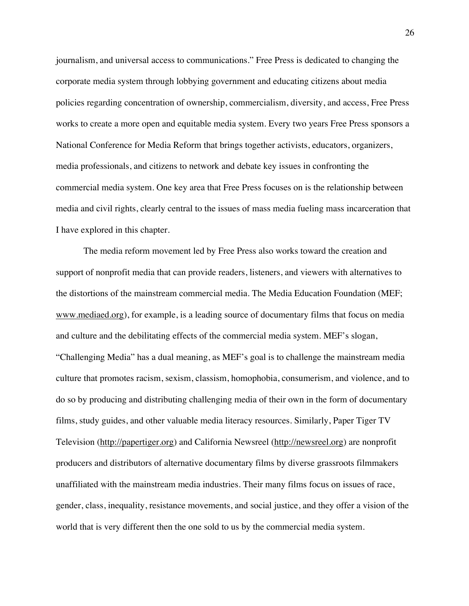journalism, and universal access to communications." Free Press is dedicated to changing the corporate media system through lobbying government and educating citizens about media policies regarding concentration of ownership, commercialism, diversity, and access, Free Press works to create a more open and equitable media system. Every two years Free Press sponsors a National Conference for Media Reform that brings together activists, educators, organizers, media professionals, and citizens to network and debate key issues in confronting the commercial media system. One key area that Free Press focuses on is the relationship between media and civil rights, clearly central to the issues of mass media fueling mass incarceration that I have explored in this chapter.

The media reform movement led by Free Press also works toward the creation and support of nonprofit media that can provide readers, listeners, and viewers with alternatives to the distortions of the mainstream commercial media. The Media Education Foundation (MEF; [www.mediaed.org](http://www.mediaed.org)), for example, is a leading source of documentary films that focus on media and culture and the debilitating effects of the commercial media system. MEF's slogan, "Challenging Media" has a dual meaning, as MEF's goal is to challenge the mainstream media culture that promotes racism, sexism, classism, homophobia, consumerism, and violence, and to do so by producing and distributing challenging media of their own in the form of documentary films, study guides, and other valuable media literacy resources. Similarly, Paper Tiger TV Television [\(http://papertiger.org](http://papertiger.org)) and California Newsreel [\(http://newsreel.org](http://newsreel.org)) are nonprofit producers and distributors of alternative documentary films by diverse grassroots filmmakers unaffiliated with the mainstream media industries. Their many films focus on issues of race, gender, class, inequality, resistance movements, and social justice, and they offer a vision of the world that is very different then the one sold to us by the commercial media system.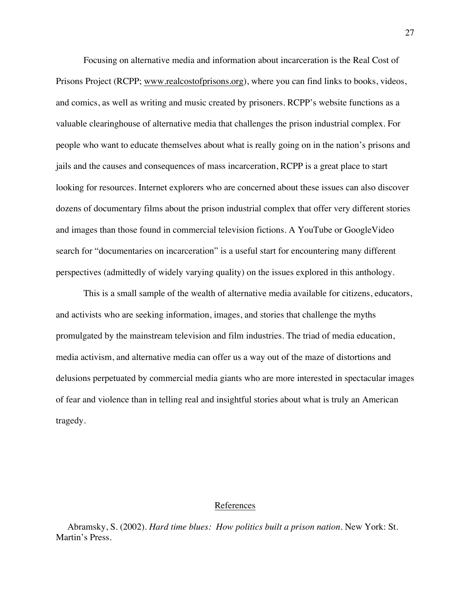Focusing on alternative media and information about incarceration is the Real Cost of Prisons Project (RCPP; [www.realcostofprisons.org](http://www.realcostofprisons.org)), where you can find links to books, videos, and comics, as well as writing and music created by prisoners. RCPP's website functions as a valuable clearinghouse of alternative media that challenges the prison industrial complex. For people who want to educate themselves about what is really going on in the nation's prisons and jails and the causes and consequences of mass incarceration, RCPP is a great place to start looking for resources. Internet explorers who are concerned about these issues can also discover dozens of documentary films about the prison industrial complex that offer very different stories and images than those found in commercial television fictions. A YouTube or GoogleVideo search for "documentaries on incarceration" is a useful start for encountering many different perspectives (admittedly of widely varying quality) on the issues explored in this anthology.

 This is a small sample of the wealth of alternative media available for citizens, educators, and activists who are seeking information, images, and stories that challenge the myths promulgated by the mainstream television and film industries. The triad of media education, media activism, and alternative media can offer us a way out of the maze of distortions and delusions perpetuated by commercial media giants who are more interested in spectacular images of fear and violence than in telling real and insightful stories about what is truly an American tragedy.

#### References

 Abramsky, S. (2002). *Hard time blues: How politics built a prison nation*. New York: St. Martin's Press.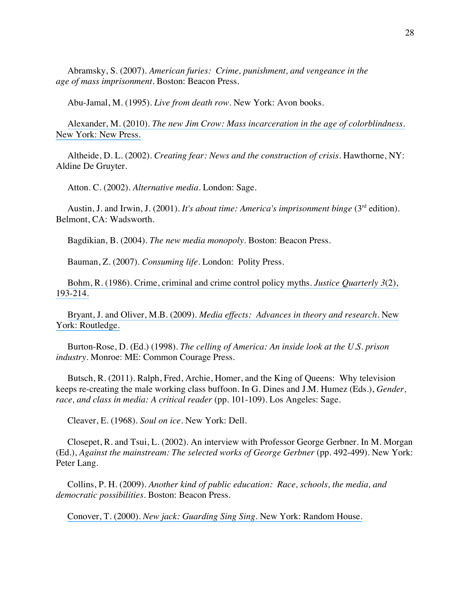Abramsky, S. (2007). *American furies: Crime, punishment, and vengeance in the age of mass imprisonment*. Boston: Beacon Press.

Abu-Jamal, M. (1995). *Live from death row*. New York: Avon books.

 Alexander, M. (2010). *[The new Jim Crow: Mass incarceration in the age of colorblindness](https://www.researchgate.net/publication/281453268_The_New_Jim_Crow_Mass_Incarceration_in_an_Age_of_Color_Blindness?el=1_x_8&enrichId=rgreq-6ed02ae2f8bc4260c167b29f34983fdc-XXX&enrichSource=Y292ZXJQYWdlOzI5MTEwODI4MztBUzozNzM0MzMxMzg0NjY4MTZAMTQ2NjA0NDgwNjM0Ng==)*. [New York: New Press.](https://www.researchgate.net/publication/281453268_The_New_Jim_Crow_Mass_Incarceration_in_an_Age_of_Color_Blindness?el=1_x_8&enrichId=rgreq-6ed02ae2f8bc4260c167b29f34983fdc-XXX&enrichSource=Y292ZXJQYWdlOzI5MTEwODI4MztBUzozNzM0MzMxMzg0NjY4MTZAMTQ2NjA0NDgwNjM0Ng==)

 Altheide, D. L. (2002). *Creating fear: News and the construction of crisis*. Hawthorne, NY: Aldine De Gruyter.

Atton. C. (2002). *Alternative media*. London: Sage.

Austin, J. and Irwin, J. (2001). *It's about time: America's imprisonment binge* (3<sup>rd</sup> edition). Belmont, CA: Wadsworth.

Bagdikian, B. (2004). *The new media monopoly*. Boston: Beacon Press.

Bauman, Z. (2007). *Consuming life*. London: Polity Press.

 [Bohm, R. \(1986\). Crime, criminal and crime control policy myths.](https://www.researchgate.net/publication/237956956_Crime_criminal_and_crime_control_policy_myths?el=1_x_8&enrichId=rgreq-6ed02ae2f8bc4260c167b29f34983fdc-XXX&enrichSource=Y292ZXJQYWdlOzI5MTEwODI4MztBUzozNzM0MzMxMzg0NjY4MTZAMTQ2NjA0NDgwNjM0Ng==) *Justice Quarterly 3*(2), [193-214.](https://www.researchgate.net/publication/237956956_Crime_criminal_and_crime_control_policy_myths?el=1_x_8&enrichId=rgreq-6ed02ae2f8bc4260c167b29f34983fdc-XXX&enrichSource=Y292ZXJQYWdlOzI5MTEwODI4MztBUzozNzM0MzMxMzg0NjY4MTZAMTQ2NjA0NDgwNjM0Ng==)

 Bryant, J. and Oliver, M.B. (2009). *[Media effects: Advances in theory and research](https://www.researchgate.net/publication/259257184_Media_effects_Advances_in_theory_and_research?el=1_x_8&enrichId=rgreq-6ed02ae2f8bc4260c167b29f34983fdc-XXX&enrichSource=Y292ZXJQYWdlOzI5MTEwODI4MztBUzozNzM0MzMxMzg0NjY4MTZAMTQ2NjA0NDgwNjM0Ng==)*. New [York: Routledge.](https://www.researchgate.net/publication/259257184_Media_effects_Advances_in_theory_and_research?el=1_x_8&enrichId=rgreq-6ed02ae2f8bc4260c167b29f34983fdc-XXX&enrichSource=Y292ZXJQYWdlOzI5MTEwODI4MztBUzozNzM0MzMxMzg0NjY4MTZAMTQ2NjA0NDgwNjM0Ng==)

 Burton-Rose, D. (Ed.) (1998). *The celling of America: An inside look at the U.S. prison industry*. Monroe: ME: Common Courage Press.

 Butsch, R. (2011). Ralph, Fred, Archie, Homer, and the King of Queens: Why television keeps re-creating the male working class buffoon. In G. Dines and J.M. Humez (Eds.), *Gender, race, and class in media: A critical reader* (pp. 101-109). Los Angeles: Sage.

Cleaver, E. (1968). *Soul on ice*. New York: Dell.

 Closepet, R. and Tsui, L. (2002). An interview with Professor George Gerbner. In M. Morgan (Ed.), *Against the mainstream: The selected works of George Gerbner* (pp. 492-499). New York: Peter Lang.

 Collins, P. H. (2009). *Another kind of public education: Race, schools, the media, and democratic possibilities*. Boston: Beacon Press.

Conover, T. (2000). *[New jack: Guarding Sing Sing](https://www.researchgate.net/publication/240137672_Newjack_Guarding_Sing_Sing?el=1_x_8&enrichId=rgreq-6ed02ae2f8bc4260c167b29f34983fdc-XXX&enrichSource=Y292ZXJQYWdlOzI5MTEwODI4MztBUzozNzM0MzMxMzg0NjY4MTZAMTQ2NjA0NDgwNjM0Ng==)*. New York: Random House.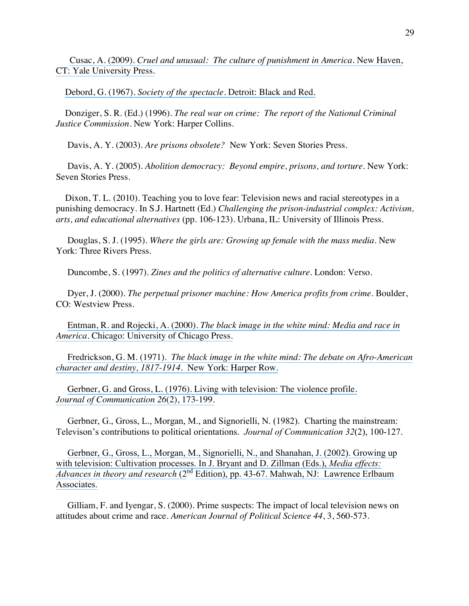Cusac, A. (2009). *[Cruel and unusual: The culture of punishment in America](https://www.researchgate.net/publication/290959808_Cruel_and_unusual_The_culture_of_punishment_in_America?el=1_x_8&enrichId=rgreq-6ed02ae2f8bc4260c167b29f34983fdc-XXX&enrichSource=Y292ZXJQYWdlOzI5MTEwODI4MztBUzozNzM0MzMxMzg0NjY4MTZAMTQ2NjA0NDgwNjM0Ng==)*. New Haven, [CT: Yale University Press.](https://www.researchgate.net/publication/290959808_Cruel_and_unusual_The_culture_of_punishment_in_America?el=1_x_8&enrichId=rgreq-6ed02ae2f8bc4260c167b29f34983fdc-XXX&enrichSource=Y292ZXJQYWdlOzI5MTEwODI4MztBUzozNzM0MzMxMzg0NjY4MTZAMTQ2NjA0NDgwNjM0Ng==)

Debord, G. (1967). *Society of the spectacle*[. Detroit: Black and Red.](https://www.researchgate.net/publication/256599875_The_Society_of_Spectacle?el=1_x_8&enrichId=rgreq-6ed02ae2f8bc4260c167b29f34983fdc-XXX&enrichSource=Y292ZXJQYWdlOzI5MTEwODI4MztBUzozNzM0MzMxMzg0NjY4MTZAMTQ2NjA0NDgwNjM0Ng==)

 Donziger, S. R. (Ed.) (1996). *The real war on crime: The report of the National Criminal Justice Commission*. New York: Harper Collins.

Davis, A. Y. (2003). *Are prisons obsolete?* New York: Seven Stories Press.

 Davis, A. Y. (2005). *Abolition democracy: Beyond empire, prisons, and torture*. New York: Seven Stories Press.

 Dixon, T. L. (2010). Teaching you to love fear: Television news and racial stereotypes in a punishing democracy. In S.J. Hartnett (Ed.) *Challenging the prison-industrial complex: Activism, arts, and educational alternatives* (pp. 106-123). Urbana, IL: University of Illinois Press.

 Douglas, S. J. (1995). *Where the girls are: Growing up female with the mass media*. New York: Three Rivers Press.

Duncombe, S. (1997). *Zines and the politics of alternative culture*. London: Verso.

 Dyer, J. (2000). *The perpetual prisoner machine: How America profits from crime*. Boulder, CO: Westview Press.

 Entman, R. and Rojecki, A. (2000). *[The black image in the white mind: Media and race in](https://www.researchgate.net/publication/41113662_The_Black_Image_in_the_White_Mind_Media_and_Race_in_America?el=1_x_8&enrichId=rgreq-6ed02ae2f8bc4260c167b29f34983fdc-XXX&enrichSource=Y292ZXJQYWdlOzI5MTEwODI4MztBUzozNzM0MzMxMzg0NjY4MTZAMTQ2NjA0NDgwNjM0Ng==) America*[. Chicago: University of Chicago Press.](https://www.researchgate.net/publication/41113662_The_Black_Image_in_the_White_Mind_Media_and_Race_in_America?el=1_x_8&enrichId=rgreq-6ed02ae2f8bc4260c167b29f34983fdc-XXX&enrichSource=Y292ZXJQYWdlOzI5MTEwODI4MztBUzozNzM0MzMxMzg0NjY4MTZAMTQ2NjA0NDgwNjM0Ng==)

 Fredrickson, G. M. (1971). *[The black image in the white mind: The debate on Afro-American](https://www.researchgate.net/publication/249203453_The_Black_Image_in_the_White_Mind_The_Debate_on_Afro-American_Character_and_Destiny_1817-1914?el=1_x_8&enrichId=rgreq-6ed02ae2f8bc4260c167b29f34983fdc-XXX&enrichSource=Y292ZXJQYWdlOzI5MTEwODI4MztBUzozNzM0MzMxMzg0NjY4MTZAMTQ2NjA0NDgwNjM0Ng==)  [character and destiny, 1817-1914](https://www.researchgate.net/publication/249203453_The_Black_Image_in_the_White_Mind_The_Debate_on_Afro-American_Character_and_Destiny_1817-1914?el=1_x_8&enrichId=rgreq-6ed02ae2f8bc4260c167b29f34983fdc-XXX&enrichSource=Y292ZXJQYWdlOzI5MTEwODI4MztBUzozNzM0MzMxMzg0NjY4MTZAMTQ2NjA0NDgwNjM0Ng==)*. New York: Harper Row.

 [Gerbner, G. and Gross, L. \(1976\). Living with television: The violence profile.](https://www.researchgate.net/publication/22223200_Living_With_Television_The_Violence_Profile?el=1_x_8&enrichId=rgreq-6ed02ae2f8bc4260c167b29f34983fdc-XXX&enrichSource=Y292ZXJQYWdlOzI5MTEwODI4MztBUzozNzM0MzMxMzg0NjY4MTZAMTQ2NjA0NDgwNjM0Ng==) *[Journal of Communication 26](https://www.researchgate.net/publication/22223200_Living_With_Television_The_Violence_Profile?el=1_x_8&enrichId=rgreq-6ed02ae2f8bc4260c167b29f34983fdc-XXX&enrichSource=Y292ZXJQYWdlOzI5MTEwODI4MztBUzozNzM0MzMxMzg0NjY4MTZAMTQ2NjA0NDgwNjM0Ng==)*(2), 173-199.

 Gerbner, G., Gross, L., Morgan, M., and Signorielli, N. (1982). Charting the mainstream: Televison's contributions to political orientations. *Journal of Communication 32*(2), 100-127.

 [Gerbner, G., Gross, L., Morgan, M., Signorielli, N., and Shanahan, J. \(2002\). Growing up](https://www.researchgate.net/publication/232498956_Growing_up_with_television_The_cultivation_perspective?el=1_x_8&enrichId=rgreq-6ed02ae2f8bc4260c167b29f34983fdc-XXX&enrichSource=Y292ZXJQYWdlOzI5MTEwODI4MztBUzozNzM0MzMxMzg0NjY4MTZAMTQ2NjA0NDgwNjM0Ng==)  [with television: Cultivation processes. In J. Bryant and D. Zillman \(Eds.\),](https://www.researchgate.net/publication/232498956_Growing_up_with_television_The_cultivation_perspective?el=1_x_8&enrichId=rgreq-6ed02ae2f8bc4260c167b29f34983fdc-XXX&enrichSource=Y292ZXJQYWdlOzI5MTEwODI4MztBUzozNzM0MzMxMzg0NjY4MTZAMTQ2NjA0NDgwNjM0Ng==) *Media effects: [Advances in theory and research](https://www.researchgate.net/publication/232498956_Growing_up_with_television_The_cultivation_perspective?el=1_x_8&enrichId=rgreq-6ed02ae2f8bc4260c167b29f34983fdc-XXX&enrichSource=Y292ZXJQYWdlOzI5MTEwODI4MztBUzozNzM0MzMxMzg0NjY4MTZAMTQ2NjA0NDgwNjM0Ng==)* ( $2^{\text{nd}}$  $2^{\text{nd}}$  $2^{\text{nd}}$  Edition), pp. 43-67. Mahwah, NJ: Lawrence Erlbaum [Associates.](https://www.researchgate.net/publication/232498956_Growing_up_with_television_The_cultivation_perspective?el=1_x_8&enrichId=rgreq-6ed02ae2f8bc4260c167b29f34983fdc-XXX&enrichSource=Y292ZXJQYWdlOzI5MTEwODI4MztBUzozNzM0MzMxMzg0NjY4MTZAMTQ2NjA0NDgwNjM0Ng==)

 Gilliam, F. and Iyengar, S. (2000). Prime suspects: The impact of local television news on attitudes about crime and race. *American Journal of Political Science 44*, 3, 560-573.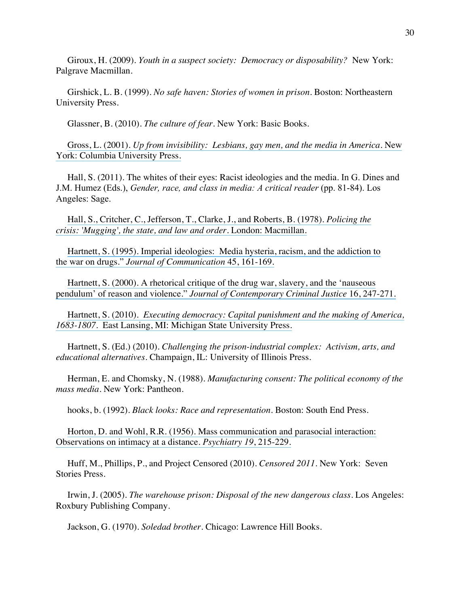Giroux, H. (2009). *Youth in a suspect society: Democracy or disposability?* New York: Palgrave Macmillan.

 Girshick, L. B. (1999). *No safe haven: Stories of women in prison*. Boston: Northeastern University Press.

Glassner, B. (2010). *The culture of fear*. New York: Basic Books.

 Gross, L. (2001). *[Up from invisibility: Lesbians, gay men, and the media in America](https://www.researchgate.net/publication/281562721_Up_From_Invisibility_Lesbians_Gay_Men_and_the_Media_in_America?el=1_x_8&enrichId=rgreq-6ed02ae2f8bc4260c167b29f34983fdc-XXX&enrichSource=Y292ZXJQYWdlOzI5MTEwODI4MztBUzozNzM0MzMxMzg0NjY4MTZAMTQ2NjA0NDgwNjM0Ng==)*. New [York: Columbia University Press.](https://www.researchgate.net/publication/281562721_Up_From_Invisibility_Lesbians_Gay_Men_and_the_Media_in_America?el=1_x_8&enrichId=rgreq-6ed02ae2f8bc4260c167b29f34983fdc-XXX&enrichSource=Y292ZXJQYWdlOzI5MTEwODI4MztBUzozNzM0MzMxMzg0NjY4MTZAMTQ2NjA0NDgwNjM0Ng==)

 Hall, S. (2011). The whites of their eyes: Racist ideologies and the media. In G. Dines and J.M. Humez (Eds.), *Gender, race, and class in media: A critical reader* (pp. 81-84). Los Angeles: Sage.

 [Hall, S., Critcher, C., Jefferson, T., Clarke, J., and Roberts, B. \(1978\).](https://www.researchgate.net/publication/270664913_Policing_the_Crisis_Mugging_The_State_and_Law_and_Order?el=1_x_8&enrichId=rgreq-6ed02ae2f8bc4260c167b29f34983fdc-XXX&enrichSource=Y292ZXJQYWdlOzI5MTEwODI4MztBUzozNzM0MzMxMzg0NjY4MTZAMTQ2NjA0NDgwNjM0Ng==) *Policing the [crisis: 'Mugging', the state, and law and order](https://www.researchgate.net/publication/270664913_Policing_the_Crisis_Mugging_The_State_and_Law_and_Order?el=1_x_8&enrichId=rgreq-6ed02ae2f8bc4260c167b29f34983fdc-XXX&enrichSource=Y292ZXJQYWdlOzI5MTEwODI4MztBUzozNzM0MzMxMzg0NjY4MTZAMTQ2NjA0NDgwNjM0Ng==)*. London: Macmillan.

 [Hartnett, S. \(1995\). Imperial ideologies: Media hysteria, racism, and the addiction to](https://www.researchgate.net/publication/228022929_Imperial_Ideologies_Media_Hysteria_Racism_and_the_Addiction_to_the_War_on_Drugs?el=1_x_8&enrichId=rgreq-6ed02ae2f8bc4260c167b29f34983fdc-XXX&enrichSource=Y292ZXJQYWdlOzI5MTEwODI4MztBUzozNzM0MzMxMzg0NjY4MTZAMTQ2NjA0NDgwNjM0Ng==) the war on drugs." *[Journal of Communication](https://www.researchgate.net/publication/228022929_Imperial_Ideologies_Media_Hysteria_Racism_and_the_Addiction_to_the_War_on_Drugs?el=1_x_8&enrichId=rgreq-6ed02ae2f8bc4260c167b29f34983fdc-XXX&enrichSource=Y292ZXJQYWdlOzI5MTEwODI4MztBUzozNzM0MzMxMzg0NjY4MTZAMTQ2NjA0NDgwNjM0Ng==)* 45, 161-169.

 [Hartnett, S. \(2000\). A rhetorical critique of the drug war, slavery, and the 'nauseous](https://www.researchgate.net/publication/238431767_A_Rhetorical_Critique_of_the_Drug_War_Slavery_and_the_Nauseous_Pendulum_of_Reason_and_Violence?el=1_x_8&enrichId=rgreq-6ed02ae2f8bc4260c167b29f34983fdc-XXX&enrichSource=Y292ZXJQYWdlOzI5MTEwODI4MztBUzozNzM0MzMxMzg0NjY4MTZAMTQ2NjA0NDgwNjM0Ng==)  pendulum' of reason and violence." *[Journal of Contemporary Criminal Justice](https://www.researchgate.net/publication/238431767_A_Rhetorical_Critique_of_the_Drug_War_Slavery_and_the_Nauseous_Pendulum_of_Reason_and_Violence?el=1_x_8&enrichId=rgreq-6ed02ae2f8bc4260c167b29f34983fdc-XXX&enrichSource=Y292ZXJQYWdlOzI5MTEwODI4MztBUzozNzM0MzMxMzg0NjY4MTZAMTQ2NjA0NDgwNjM0Ng==)* 16, 247-271.

 Hartnett, S. (2010). *[Executing democracy: Capital punishment and the making of America,](https://www.researchgate.net/publication/289456540_Executing_democracy_Capital_punishment_and_the_making_of_America_1683-1807?el=1_x_8&enrichId=rgreq-6ed02ae2f8bc4260c167b29f34983fdc-XXX&enrichSource=Y292ZXJQYWdlOzI5MTEwODI4MztBUzozNzM0MzMxMzg0NjY4MTZAMTQ2NjA0NDgwNjM0Ng==)  1683-1807*[. East Lansing, MI: Michigan State University Press.](https://www.researchgate.net/publication/289456540_Executing_democracy_Capital_punishment_and_the_making_of_America_1683-1807?el=1_x_8&enrichId=rgreq-6ed02ae2f8bc4260c167b29f34983fdc-XXX&enrichSource=Y292ZXJQYWdlOzI5MTEwODI4MztBUzozNzM0MzMxMzg0NjY4MTZAMTQ2NjA0NDgwNjM0Ng==)

 Hartnett, S. (Ed.) (2010). *Challenging the prison-industrial complex: Activism, arts, and educational alternatives*. Champaign, IL: University of Illinois Press.

 Herman, E. and Chomsky, N. (1988). *Manufacturing consent: The political economy of the mass media*. New York: Pantheon.

hooks, b. (1992). *Black looks: Race and representation*. Boston: South End Press.

 [Horton, D. and Wohl, R.R. \(1956\). Mass communication and parasocial interaction:](https://www.researchgate.net/publication/10206051_Mass_Communication_and_Parasocial_Interaction_Observations_on_Intimacy_at_a_Distance?el=1_x_8&enrichId=rgreq-6ed02ae2f8bc4260c167b29f34983fdc-XXX&enrichSource=Y292ZXJQYWdlOzI5MTEwODI4MztBUzozNzM0MzMxMzg0NjY4MTZAMTQ2NjA0NDgwNjM0Ng==) [Observations on intimacy at a distance.](https://www.researchgate.net/publication/10206051_Mass_Communication_and_Parasocial_Interaction_Observations_on_Intimacy_at_a_Distance?el=1_x_8&enrichId=rgreq-6ed02ae2f8bc4260c167b29f34983fdc-XXX&enrichSource=Y292ZXJQYWdlOzI5MTEwODI4MztBUzozNzM0MzMxMzg0NjY4MTZAMTQ2NjA0NDgwNjM0Ng==) *Psychiatry 19*, 215-229.

 Huff, M., Phillips, P., and Project Censored (2010). *Censored 2011*. New York: Seven Stories Press.

 Irwin, J. (2005). *The warehouse prison: Disposal of the new dangerous class*. Los Angeles: Roxbury Publishing Company.

Jackson, G. (1970). *Soledad brother*. Chicago: Lawrence Hill Books.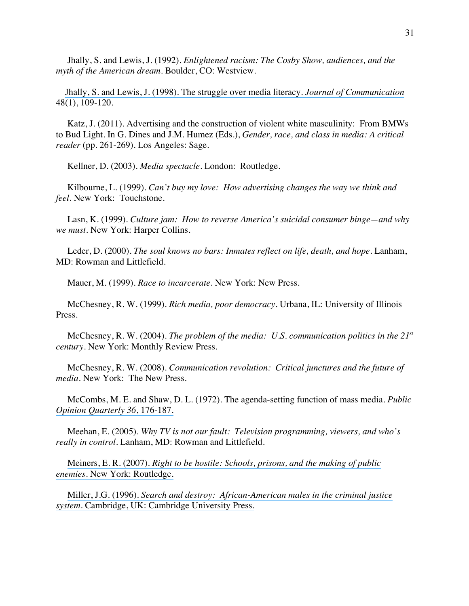Jhally, S. and Lewis, J. (1992). *Enlightened racism: The Cosby Show, audiences, and the myth of the American dream*. Boulder, CO: Westview.

 [Jhally, S. and Lewis, J. \(1998\). The struggle over media literacy.](https://www.researchgate.net/publication/227719157_) *Journal of Communication*  [48\(1\), 109-120.](https://www.researchgate.net/publication/227719157_)

 Katz, J. (2011). Advertising and the construction of violent white masculinity: From BMWs to Bud Light. In G. Dines and J.M. Humez (Eds.), *Gender, race, and class in media: A critical reader* (pp. 261-269). Los Angeles: Sage.

Kellner, D. (2003). *Media spectacle*. London: Routledge.

 Kilbourne, L. (1999). *Can't buy my love: How advertising changes the way we think and feel*. New York: Touchstone.

 Lasn, K. (1999). *Culture jam: How to reverse America's suicidal consumer binge—and why we must*. New York: Harper Collins.

 Leder, D. (2000). *The soul knows no bars: Inmates reflect on life, death, and hope*. Lanham, MD: Rowman and Littlefield.

Mauer, M. (1999). *Race to incarcerate*. New York: New Press.

 McChesney, R. W. (1999). *Rich media, poor democracy*. Urbana, IL: University of Illinois Press.

 McChesney, R. W. (2004). *The problem of the media: U.S. communication politics in the 21st century*. New York: Monthly Review Press.

 McChesney, R. W. (2008). *Communication revolution: Critical junctures and the future of media*. New York: The New Press.

 [McCombs, M. E. and Shaw, D. L. \(1972\). The agenda-setting function of mass media.](https://www.researchgate.net/publication/209410047_The_Agenda-Setting_Function_of_Mass_Media?el=1_x_8&enrichId=rgreq-6ed02ae2f8bc4260c167b29f34983fdc-XXX&enrichSource=Y292ZXJQYWdlOzI5MTEwODI4MztBUzozNzM0MzMxMzg0NjY4MTZAMTQ2NjA0NDgwNjM0Ng==) *Public [Opinion Quarterly 36](https://www.researchgate.net/publication/209410047_The_Agenda-Setting_Function_of_Mass_Media?el=1_x_8&enrichId=rgreq-6ed02ae2f8bc4260c167b29f34983fdc-XXX&enrichSource=Y292ZXJQYWdlOzI5MTEwODI4MztBUzozNzM0MzMxMzg0NjY4MTZAMTQ2NjA0NDgwNjM0Ng==)*, 176-187.

 Meehan, E. (2005). *Why TV is not our fault: Television programming, viewers, and who's really in control*. Lanham, MD: Rowman and Littlefield.

 Meiners, E. R. (2007). *[Right to be hostile: Schools, prisons, and the making of public](https://www.researchgate.net/publication/287055938_Right_to_be_hostile_Schools_prisons_and_the_making_of_public_enemies?el=1_x_8&enrichId=rgreq-6ed02ae2f8bc4260c167b29f34983fdc-XXX&enrichSource=Y292ZXJQYWdlOzI5MTEwODI4MztBUzozNzM0MzMxMzg0NjY4MTZAMTQ2NjA0NDgwNjM0Ng==) enemies*[. New York: Routledge.](https://www.researchgate.net/publication/287055938_Right_to_be_hostile_Schools_prisons_and_the_making_of_public_enemies?el=1_x_8&enrichId=rgreq-6ed02ae2f8bc4260c167b29f34983fdc-XXX&enrichSource=Y292ZXJQYWdlOzI5MTEwODI4MztBUzozNzM0MzMxMzg0NjY4MTZAMTQ2NjA0NDgwNjM0Ng==)

 Miller, J.G. (1996). *[Search and destroy: African-American males in the criminal justice](https://www.researchgate.net/publication/281453207_Search_and_Destroy_The_Plight_of_African_American_Males_in_the_Criminal_Justice_System?el=1_x_8&enrichId=rgreq-6ed02ae2f8bc4260c167b29f34983fdc-XXX&enrichSource=Y292ZXJQYWdlOzI5MTEwODI4MztBUzozNzM0MzMxMzg0NjY4MTZAMTQ2NjA0NDgwNjM0Ng==)  system*[. Cambridge, UK: Cambridge University Press.](https://www.researchgate.net/publication/281453207_Search_and_Destroy_The_Plight_of_African_American_Males_in_the_Criminal_Justice_System?el=1_x_8&enrichId=rgreq-6ed02ae2f8bc4260c167b29f34983fdc-XXX&enrichSource=Y292ZXJQYWdlOzI5MTEwODI4MztBUzozNzM0MzMxMzg0NjY4MTZAMTQ2NjA0NDgwNjM0Ng==)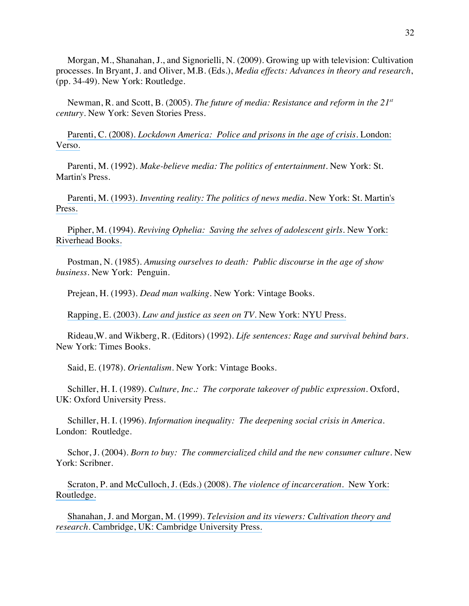Morgan, M., Shanahan, J., and Signorielli, N. (2009). Growing up with television: Cultivation processes. In Bryant, J. and Oliver, M.B. (Eds.), *Media effects: Advances in theory and research*, (pp. 34-49). New York: Routledge.

 Newman, R. and Scott, B. (2005). *The future of media: Resistance and reform in the 21st century*. New York: Seven Stories Press.

 Parenti, C. (2008). *[Lockdown America: Police and prisons in the age of crisis](https://www.researchgate.net/publication/235359336_Lockdown_America_Police_and_Prisons_in_an_Age_of_Crisis?el=1_x_8&enrichId=rgreq-6ed02ae2f8bc4260c167b29f34983fdc-XXX&enrichSource=Y292ZXJQYWdlOzI5MTEwODI4MztBUzozNzM0MzMxMzg0NjY4MTZAMTQ2NjA0NDgwNjM0Ng==)*. London: [Verso.](https://www.researchgate.net/publication/235359336_Lockdown_America_Police_and_Prisons_in_an_Age_of_Crisis?el=1_x_8&enrichId=rgreq-6ed02ae2f8bc4260c167b29f34983fdc-XXX&enrichSource=Y292ZXJQYWdlOzI5MTEwODI4MztBUzozNzM0MzMxMzg0NjY4MTZAMTQ2NjA0NDgwNjM0Ng==)

 Parenti, M. (1992). *Make-believe media: The politics of entertainment*. New York: St. Martin's Press.

 Parenti, M. (1993). *[Inventing reality: The politics of news media](https://www.researchgate.net/publication/270323828_Inventing_Reality_The_Politics_of_Mass_Media?el=1_x_8&enrichId=rgreq-6ed02ae2f8bc4260c167b29f34983fdc-XXX&enrichSource=Y292ZXJQYWdlOzI5MTEwODI4MztBUzozNzM0MzMxMzg0NjY4MTZAMTQ2NjA0NDgwNjM0Ng==)*. New York: St. Martin's [Press.](https://www.researchgate.net/publication/270323828_Inventing_Reality_The_Politics_of_Mass_Media?el=1_x_8&enrichId=rgreq-6ed02ae2f8bc4260c167b29f34983fdc-XXX&enrichSource=Y292ZXJQYWdlOzI5MTEwODI4MztBUzozNzM0MzMxMzg0NjY4MTZAMTQ2NjA0NDgwNjM0Ng==)

 Pipher, M. (1994). *[Reviving Ophelia: Saving the selves of adolescent girls](https://www.researchgate.net/publication/237131581_Reviving_Ophelia_Saving_the_Selves_of_Adolescent_Girls?el=1_x_8&enrichId=rgreq-6ed02ae2f8bc4260c167b29f34983fdc-XXX&enrichSource=Y292ZXJQYWdlOzI5MTEwODI4MztBUzozNzM0MzMxMzg0NjY4MTZAMTQ2NjA0NDgwNjM0Ng==)*. New York: [Riverhead Books.](https://www.researchgate.net/publication/237131581_Reviving_Ophelia_Saving_the_Selves_of_Adolescent_Girls?el=1_x_8&enrichId=rgreq-6ed02ae2f8bc4260c167b29f34983fdc-XXX&enrichSource=Y292ZXJQYWdlOzI5MTEwODI4MztBUzozNzM0MzMxMzg0NjY4MTZAMTQ2NjA0NDgwNjM0Ng==)

 Postman, N. (1985). *Amusing ourselves to death: Public discourse in the age of show business*. New York: Penguin.

Prejean, H. (1993). *Dead man walking*. New York: Vintage Books.

Rapping, E. (2003). *[Law and justice as seen on TV](https://www.researchgate.net/publication/291106254_Law_and_Justice_as_Seen_on_TV?el=1_x_8&enrichId=rgreq-6ed02ae2f8bc4260c167b29f34983fdc-XXX&enrichSource=Y292ZXJQYWdlOzI5MTEwODI4MztBUzozNzM0MzMxMzg0NjY4MTZAMTQ2NjA0NDgwNjM0Ng==)*. New York: NYU Press.

 Rideau,W. and Wikberg, R. (Editors) (1992). *Life sentences: Rage and survival behind bars*. New York: Times Books.

Said, E. (1978). *Orientalism*. New York: Vintage Books.

 Schiller, H. I. (1989). *Culture, Inc.: The corporate takeover of public expression*. Oxford, UK: Oxford University Press.

 Schiller, H. I. (1996). *Information inequality: The deepening social crisis in America*. London: Routledge.

 Schor, J. (2004). *Born to buy: The commercialized child and the new consumer culture*. New York: Scribner.

 [Scraton, P. and McCulloch, J. \(Eds.\) \(2008\).](https://www.researchgate.net/publication/283716121_The_Violence_of_Incarceration?el=1_x_8&enrichId=rgreq-6ed02ae2f8bc4260c167b29f34983fdc-XXX&enrichSource=Y292ZXJQYWdlOzI5MTEwODI4MztBUzozNzM0MzMxMzg0NjY4MTZAMTQ2NjA0NDgwNjM0Ng==) *The violence of incarceration*. New York: [Routledge.](https://www.researchgate.net/publication/283716121_The_Violence_of_Incarceration?el=1_x_8&enrichId=rgreq-6ed02ae2f8bc4260c167b29f34983fdc-XXX&enrichSource=Y292ZXJQYWdlOzI5MTEwODI4MztBUzozNzM0MzMxMzg0NjY4MTZAMTQ2NjA0NDgwNjM0Ng==)

 Shanahan, J. and Morgan, M. (1999). *Television [and its viewers: Cultivation theory and](https://www.researchgate.net/publication/43128088_Television_and_Its_Viewers_Cultivation_Theory_and_Research?el=1_x_8&enrichId=rgreq-6ed02ae2f8bc4260c167b29f34983fdc-XXX&enrichSource=Y292ZXJQYWdlOzI5MTEwODI4MztBUzozNzM0MzMxMzg0NjY4MTZAMTQ2NjA0NDgwNjM0Ng==) research*[. Cambridge, UK: Cambridge University Press.](https://www.researchgate.net/publication/43128088_Television_and_Its_Viewers_Cultivation_Theory_and_Research?el=1_x_8&enrichId=rgreq-6ed02ae2f8bc4260c167b29f34983fdc-XXX&enrichSource=Y292ZXJQYWdlOzI5MTEwODI4MztBUzozNzM0MzMxMzg0NjY4MTZAMTQ2NjA0NDgwNjM0Ng==)